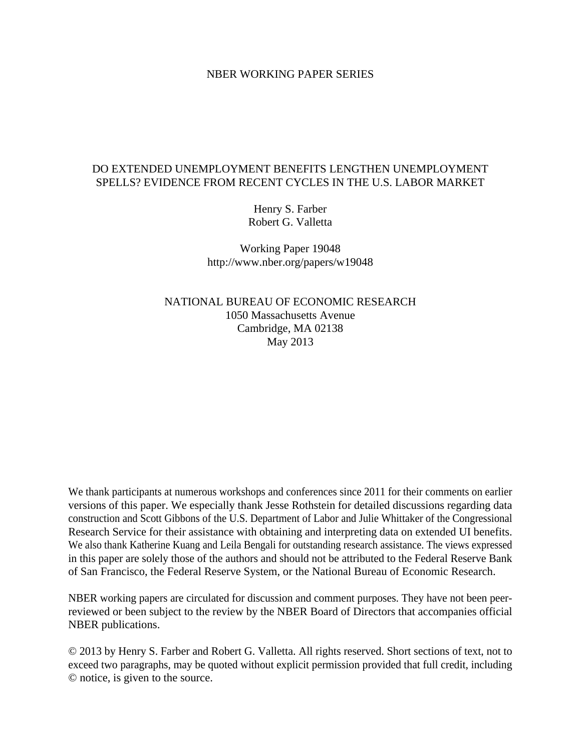#### NBER WORKING PAPER SERIES

## DO EXTENDED UNEMPLOYMENT BENEFITS LENGTHEN UNEMPLOYMENT SPELLS? EVIDENCE FROM RECENT CYCLES IN THE U.S. LABOR MARKET

Henry S. Farber Robert G. Valletta

Working Paper 19048 http://www.nber.org/papers/w19048

NATIONAL BUREAU OF ECONOMIC RESEARCH 1050 Massachusetts Avenue Cambridge, MA 02138 May 2013

We thank participants at numerous workshops and conferences since 2011 for their comments on earlier versions of this paper. We especially thank Jesse Rothstein for detailed discussions regarding data construction and Scott Gibbons of the U.S. Department of Labor and Julie Whittaker of the Congressional Research Service for their assistance with obtaining and interpreting data on extended UI benefits. We also thank Katherine Kuang and Leila Bengali for outstanding research assistance. The views expressed in this paper are solely those of the authors and should not be attributed to the Federal Reserve Bank of San Francisco, the Federal Reserve System, or the National Bureau of Economic Research.

NBER working papers are circulated for discussion and comment purposes. They have not been peerreviewed or been subject to the review by the NBER Board of Directors that accompanies official NBER publications.

© 2013 by Henry S. Farber and Robert G. Valletta. All rights reserved. Short sections of text, not to exceed two paragraphs, may be quoted without explicit permission provided that full credit, including © notice, is given to the source.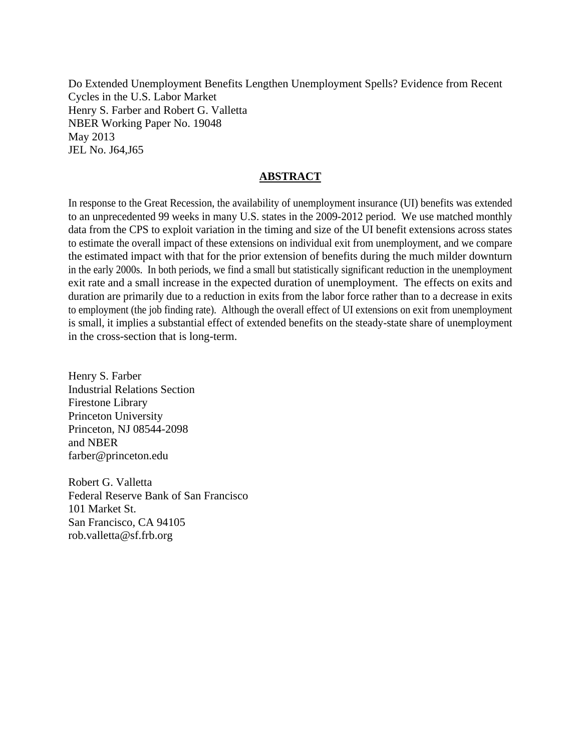Do Extended Unemployment Benefits Lengthen Unemployment Spells? Evidence from Recent Cycles in the U.S. Labor Market Henry S. Farber and Robert G. Valletta NBER Working Paper No. 19048 May 2013 JEL No. J64,J65

### **ABSTRACT**

In response to the Great Recession, the availability of unemployment insurance (UI) benefits was extended to an unprecedented 99 weeks in many U.S. states in the 2009-2012 period. We use matched monthly data from the CPS to exploit variation in the timing and size of the UI benefit extensions across states to estimate the overall impact of these extensions on individual exit from unemployment, and we compare the estimated impact with that for the prior extension of benefits during the much milder downturn in the early 2000s. In both periods, we find a small but statistically significant reduction in the unemployment exit rate and a small increase in the expected duration of unemployment. The effects on exits and duration are primarily due to a reduction in exits from the labor force rather than to a decrease in exits to employment (the job finding rate). Although the overall effect of UI extensions on exit from unemployment is small, it implies a substantial effect of extended benefits on the steady-state share of unemployment in the cross-section that is long-term.

Henry S. Farber Industrial Relations Section Firestone Library Princeton University Princeton, NJ 08544-2098 and NBER farber@princeton.edu

Robert G. Valletta Federal Reserve Bank of San Francisco 101 Market St. San Francisco, CA 94105 rob.valletta@sf.frb.org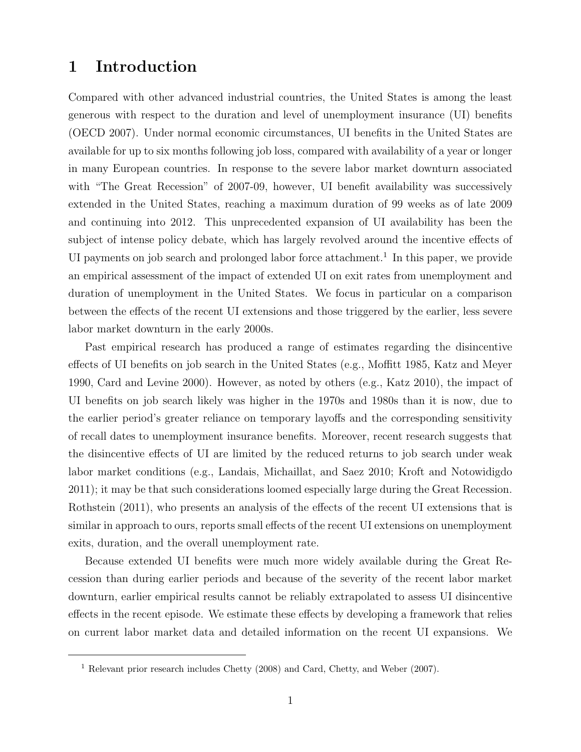# 1 Introduction

Compared with other advanced industrial countries, the United States is among the least generous with respect to the duration and level of unemployment insurance (UI) benefits (OECD 2007). Under normal economic circumstances, UI benefits in the United States are available for up to six months following job loss, compared with availability of a year or longer in many European countries. In response to the severe labor market downturn associated with "The Great Recession" of 2007-09, however, UI benefit availability was successively extended in the United States, reaching a maximum duration of 99 weeks as of late 2009 and continuing into 2012. This unprecedented expansion of UI availability has been the subject of intense policy debate, which has largely revolved around the incentive effects of UI payments on job search and prolonged labor force attachment.<sup>1</sup> In this paper, we provide an empirical assessment of the impact of extended UI on exit rates from unemployment and duration of unemployment in the United States. We focus in particular on a comparison between the effects of the recent UI extensions and those triggered by the earlier, less severe labor market downturn in the early 2000s.

Past empirical research has produced a range of estimates regarding the disincentive effects of UI benefits on job search in the United States (e.g., Moffitt 1985, Katz and Meyer 1990, Card and Levine 2000). However, as noted by others (e.g., Katz 2010), the impact of UI benefits on job search likely was higher in the 1970s and 1980s than it is now, due to the earlier period's greater reliance on temporary layoffs and the corresponding sensitivity of recall dates to unemployment insurance benefits. Moreover, recent research suggests that the disincentive effects of UI are limited by the reduced returns to job search under weak labor market conditions (e.g., Landais, Michaillat, and Saez 2010; Kroft and Notowidigdo 2011); it may be that such considerations loomed especially large during the Great Recession. Rothstein (2011), who presents an analysis of the effects of the recent UI extensions that is similar in approach to ours, reports small effects of the recent UI extensions on unemployment exits, duration, and the overall unemployment rate.

Because extended UI benefits were much more widely available during the Great Recession than during earlier periods and because of the severity of the recent labor market downturn, earlier empirical results cannot be reliably extrapolated to assess UI disincentive effects in the recent episode. We estimate these effects by developing a framework that relies on current labor market data and detailed information on the recent UI expansions. We

<sup>1</sup> Relevant prior research includes Chetty (2008) and Card, Chetty, and Weber (2007).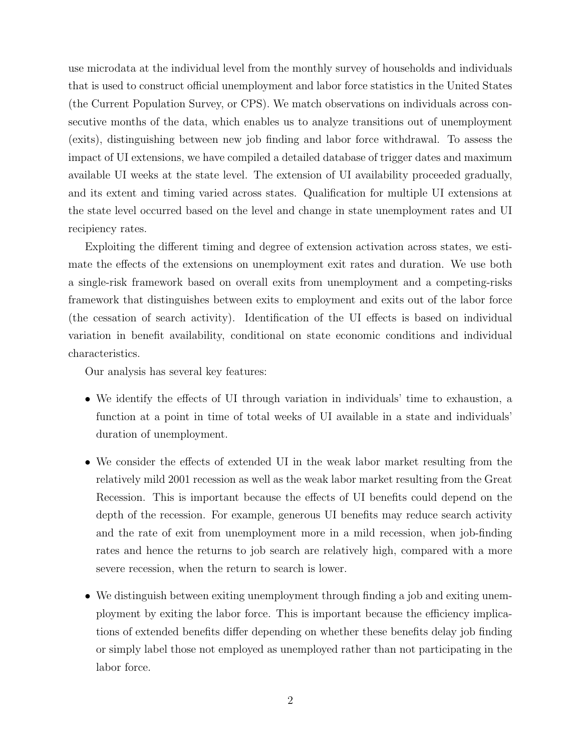use microdata at the individual level from the monthly survey of households and individuals that is used to construct official unemployment and labor force statistics in the United States (the Current Population Survey, or CPS). We match observations on individuals across consecutive months of the data, which enables us to analyze transitions out of unemployment (exits), distinguishing between new job finding and labor force withdrawal. To assess the impact of UI extensions, we have compiled a detailed database of trigger dates and maximum available UI weeks at the state level. The extension of UI availability proceeded gradually, and its extent and timing varied across states. Qualification for multiple UI extensions at the state level occurred based on the level and change in state unemployment rates and UI recipiency rates.

Exploiting the different timing and degree of extension activation across states, we estimate the effects of the extensions on unemployment exit rates and duration. We use both a single-risk framework based on overall exits from unemployment and a competing-risks framework that distinguishes between exits to employment and exits out of the labor force (the cessation of search activity). Identification of the UI effects is based on individual variation in benefit availability, conditional on state economic conditions and individual characteristics.

Our analysis has several key features:

- We identify the effects of UI through variation in individuals' time to exhaustion, a function at a point in time of total weeks of UI available in a state and individuals' duration of unemployment.
- We consider the effects of extended UI in the weak labor market resulting from the relatively mild 2001 recession as well as the weak labor market resulting from the Great Recession. This is important because the effects of UI benefits could depend on the depth of the recession. For example, generous UI benefits may reduce search activity and the rate of exit from unemployment more in a mild recession, when job-finding rates and hence the returns to job search are relatively high, compared with a more severe recession, when the return to search is lower.
- We distinguish between exiting unemployment through finding a job and exiting unemployment by exiting the labor force. This is important because the efficiency implications of extended benefits differ depending on whether these benefits delay job finding or simply label those not employed as unemployed rather than not participating in the labor force.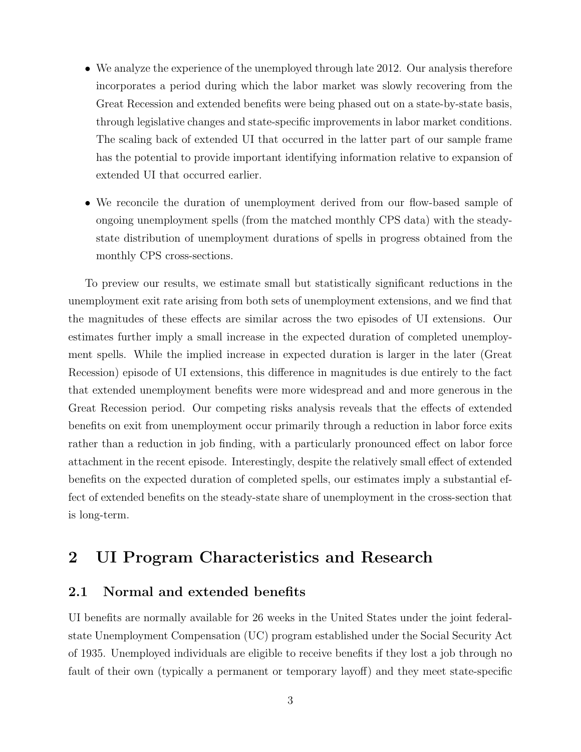- We analyze the experience of the unemployed through late 2012. Our analysis therefore incorporates a period during which the labor market was slowly recovering from the Great Recession and extended benefits were being phased out on a state-by-state basis, through legislative changes and state-specific improvements in labor market conditions. The scaling back of extended UI that occurred in the latter part of our sample frame has the potential to provide important identifying information relative to expansion of extended UI that occurred earlier.
- We reconcile the duration of unemployment derived from our flow-based sample of ongoing unemployment spells (from the matched monthly CPS data) with the steadystate distribution of unemployment durations of spells in progress obtained from the monthly CPS cross-sections.

To preview our results, we estimate small but statistically significant reductions in the unemployment exit rate arising from both sets of unemployment extensions, and we find that the magnitudes of these effects are similar across the two episodes of UI extensions. Our estimates further imply a small increase in the expected duration of completed unemployment spells. While the implied increase in expected duration is larger in the later (Great Recession) episode of UI extensions, this difference in magnitudes is due entirely to the fact that extended unemployment benefits were more widespread and and more generous in the Great Recession period. Our competing risks analysis reveals that the effects of extended benefits on exit from unemployment occur primarily through a reduction in labor force exits rather than a reduction in job finding, with a particularly pronounced effect on labor force attachment in the recent episode. Interestingly, despite the relatively small effect of extended benefits on the expected duration of completed spells, our estimates imply a substantial effect of extended benefits on the steady-state share of unemployment in the cross-section that is long-term.

# 2 UI Program Characteristics and Research

## 2.1 Normal and extended benefits

UI benefits are normally available for 26 weeks in the United States under the joint federalstate Unemployment Compensation (UC) program established under the Social Security Act of 1935. Unemployed individuals are eligible to receive benefits if they lost a job through no fault of their own (typically a permanent or temporary layoff) and they meet state-specific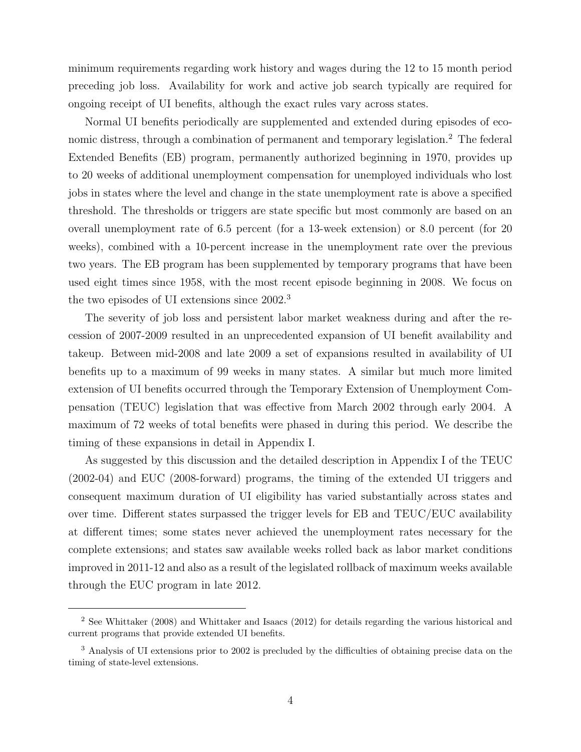minimum requirements regarding work history and wages during the 12 to 15 month period preceding job loss. Availability for work and active job search typically are required for ongoing receipt of UI benefits, although the exact rules vary across states.

Normal UI benefits periodically are supplemented and extended during episodes of economic distress, through a combination of permanent and temporary legislation.<sup>2</sup> The federal Extended Benefits (EB) program, permanently authorized beginning in 1970, provides up to 20 weeks of additional unemployment compensation for unemployed individuals who lost jobs in states where the level and change in the state unemployment rate is above a specified threshold. The thresholds or triggers are state specific but most commonly are based on an overall unemployment rate of 6.5 percent (for a 13-week extension) or 8.0 percent (for 20 weeks), combined with a 10-percent increase in the unemployment rate over the previous two years. The EB program has been supplemented by temporary programs that have been used eight times since 1958, with the most recent episode beginning in 2008. We focus on the two episodes of UI extensions since 2002.<sup>3</sup>

The severity of job loss and persistent labor market weakness during and after the recession of 2007-2009 resulted in an unprecedented expansion of UI benefit availability and takeup. Between mid-2008 and late 2009 a set of expansions resulted in availability of UI benefits up to a maximum of 99 weeks in many states. A similar but much more limited extension of UI benefits occurred through the Temporary Extension of Unemployment Compensation (TEUC) legislation that was effective from March 2002 through early 2004. A maximum of 72 weeks of total benefits were phased in during this period. We describe the timing of these expansions in detail in Appendix I.

As suggested by this discussion and the detailed description in Appendix I of the TEUC (2002-04) and EUC (2008-forward) programs, the timing of the extended UI triggers and consequent maximum duration of UI eligibility has varied substantially across states and over time. Different states surpassed the trigger levels for EB and TEUC/EUC availability at different times; some states never achieved the unemployment rates necessary for the complete extensions; and states saw available weeks rolled back as labor market conditions improved in 2011-12 and also as a result of the legislated rollback of maximum weeks available through the EUC program in late 2012.

<sup>2</sup> See Whittaker (2008) and Whittaker and Isaacs (2012) for details regarding the various historical and current programs that provide extended UI benefits.

<sup>&</sup>lt;sup>3</sup> Analysis of UI extensions prior to 2002 is precluded by the difficulties of obtaining precise data on the timing of state-level extensions.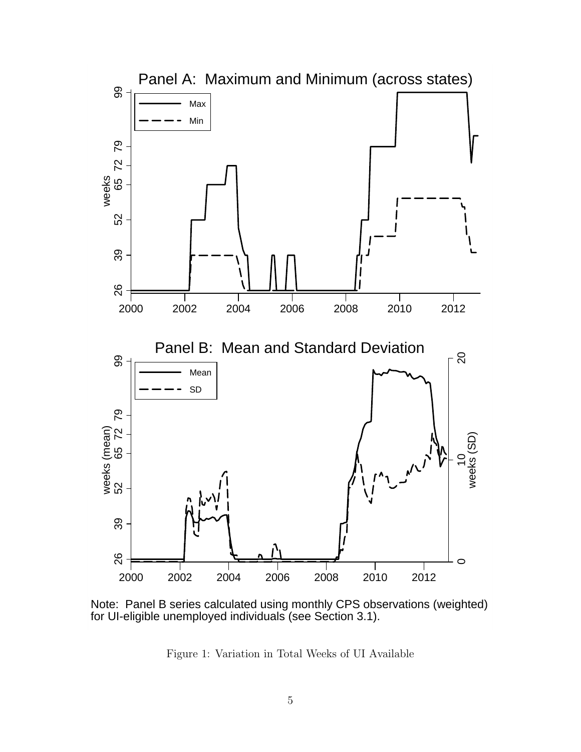

Note: Panel B series calculated using monthly CPS observations (weighted) for UI-eligible unemployed individuals (see Section 3.1).

Figure 1: Variation in Total Weeks of UI Available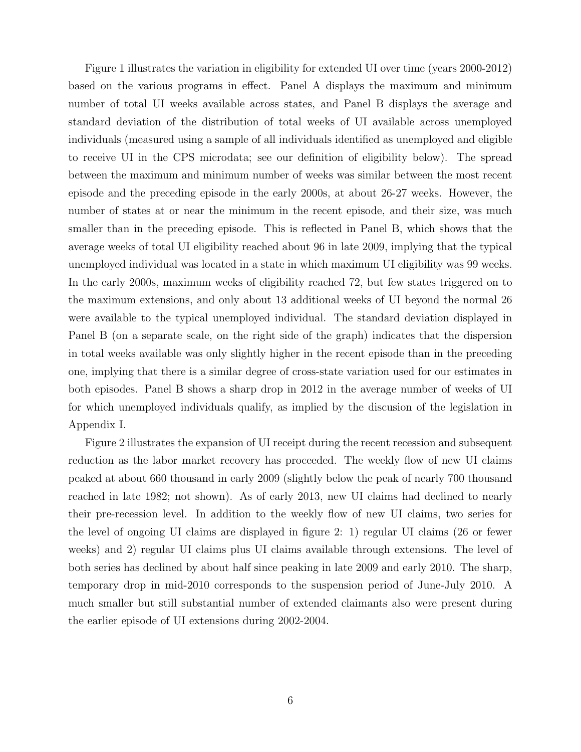Figure 1 illustrates the variation in eligibility for extended UI over time (years 2000-2012) based on the various programs in effect. Panel A displays the maximum and minimum number of total UI weeks available across states, and Panel B displays the average and standard deviation of the distribution of total weeks of UI available across unemployed individuals (measured using a sample of all individuals identified as unemployed and eligible to receive UI in the CPS microdata; see our definition of eligibility below). The spread between the maximum and minimum number of weeks was similar between the most recent episode and the preceding episode in the early 2000s, at about 26-27 weeks. However, the number of states at or near the minimum in the recent episode, and their size, was much smaller than in the preceding episode. This is reflected in Panel B, which shows that the average weeks of total UI eligibility reached about 96 in late 2009, implying that the typical unemployed individual was located in a state in which maximum UI eligibility was 99 weeks. In the early 2000s, maximum weeks of eligibility reached 72, but few states triggered on to the maximum extensions, and only about 13 additional weeks of UI beyond the normal 26 were available to the typical unemployed individual. The standard deviation displayed in Panel B (on a separate scale, on the right side of the graph) indicates that the dispersion in total weeks available was only slightly higher in the recent episode than in the preceding one, implying that there is a similar degree of cross-state variation used for our estimates in both episodes. Panel B shows a sharp drop in 2012 in the average number of weeks of UI for which unemployed individuals qualify, as implied by the discusion of the legislation in Appendix I.

Figure 2 illustrates the expansion of UI receipt during the recent recession and subsequent reduction as the labor market recovery has proceeded. The weekly flow of new UI claims peaked at about 660 thousand in early 2009 (slightly below the peak of nearly 700 thousand reached in late 1982; not shown). As of early 2013, new UI claims had declined to nearly their pre-recession level. In addition to the weekly flow of new UI claims, two series for the level of ongoing UI claims are displayed in figure 2: 1) regular UI claims (26 or fewer weeks) and 2) regular UI claims plus UI claims available through extensions. The level of both series has declined by about half since peaking in late 2009 and early 2010. The sharp, temporary drop in mid-2010 corresponds to the suspension period of June-July 2010. A much smaller but still substantial number of extended claimants also were present during the earlier episode of UI extensions during 2002-2004.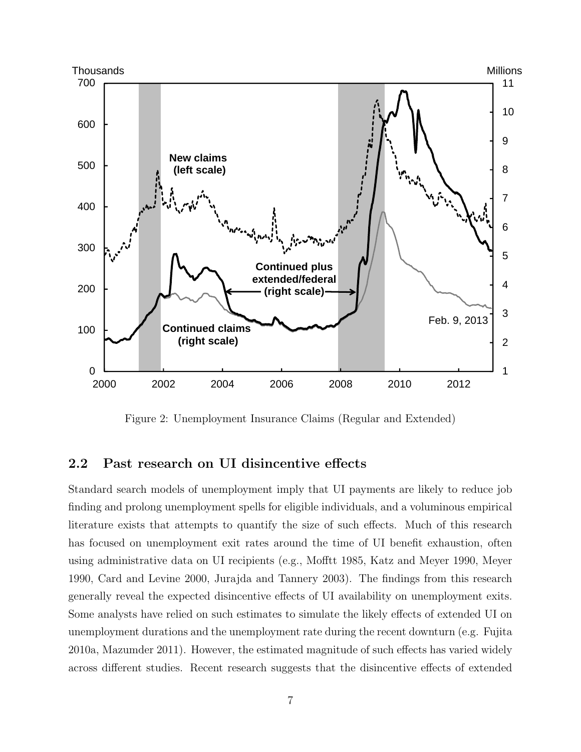

Figure 2: Unemployment Insurance Claims (Regular and Extended)

## 2.2 Past research on UI disincentive effects

Standard search models of unemployment imply that UI payments are likely to reduce job finding and prolong unemployment spells for eligible individuals, and a voluminous empirical literature exists that attempts to quantify the size of such effects. Much of this research has focused on unemployment exit rates around the time of UI benefit exhaustion, often using administrative data on UI recipients (e.g., Mofftt 1985, Katz and Meyer 1990, Meyer 1990, Card and Levine 2000, Jurajda and Tannery 2003). The findings from this research generally reveal the expected disincentive effects of UI availability on unemployment exits. Some analysts have relied on such estimates to simulate the likely effects of extended UI on unemployment durations and the unemployment rate during the recent downturn (e.g. Fujita 2010a, Mazumder 2011). However, the estimated magnitude of such effects has varied widely across different studies. Recent research suggests that the disincentive effects of extended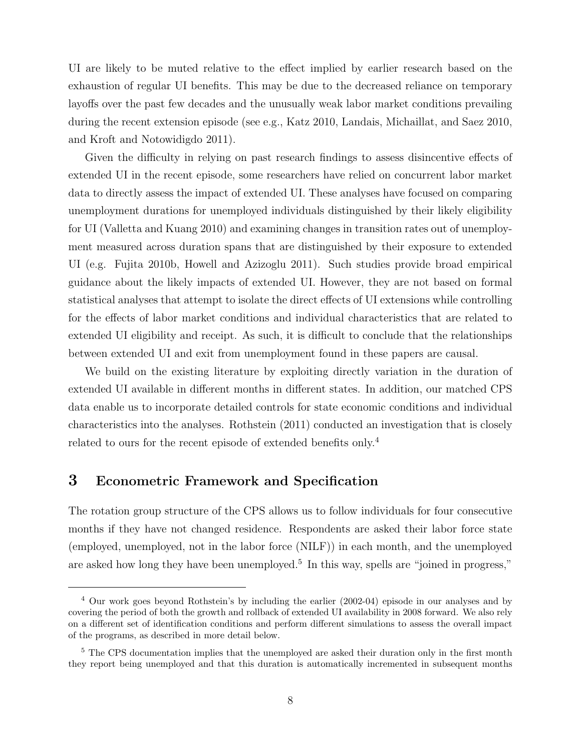UI are likely to be muted relative to the effect implied by earlier research based on the exhaustion of regular UI benefits. This may be due to the decreased reliance on temporary layoffs over the past few decades and the unusually weak labor market conditions prevailing during the recent extension episode (see e.g., Katz 2010, Landais, Michaillat, and Saez 2010, and Kroft and Notowidigdo 2011).

Given the difficulty in relying on past research findings to assess disincentive effects of extended UI in the recent episode, some researchers have relied on concurrent labor market data to directly assess the impact of extended UI. These analyses have focused on comparing unemployment durations for unemployed individuals distinguished by their likely eligibility for UI (Valletta and Kuang 2010) and examining changes in transition rates out of unemployment measured across duration spans that are distinguished by their exposure to extended UI (e.g. Fujita 2010b, Howell and Azizoglu 2011). Such studies provide broad empirical guidance about the likely impacts of extended UI. However, they are not based on formal statistical analyses that attempt to isolate the direct effects of UI extensions while controlling for the effects of labor market conditions and individual characteristics that are related to extended UI eligibility and receipt. As such, it is difficult to conclude that the relationships between extended UI and exit from unemployment found in these papers are causal.

We build on the existing literature by exploiting directly variation in the duration of extended UI available in different months in different states. In addition, our matched CPS data enable us to incorporate detailed controls for state economic conditions and individual characteristics into the analyses. Rothstein (2011) conducted an investigation that is closely related to ours for the recent episode of extended benefits only.<sup>4</sup>

## 3 Econometric Framework and Specification

The rotation group structure of the CPS allows us to follow individuals for four consecutive months if they have not changed residence. Respondents are asked their labor force state (employed, unemployed, not in the labor force (NILF)) in each month, and the unemployed are asked how long they have been unemployed.<sup>5</sup> In this way, spells are "joined in progress,"

<sup>4</sup> Our work goes beyond Rothstein's by including the earlier (2002-04) episode in our analyses and by covering the period of both the growth and rollback of extended UI availability in 2008 forward. We also rely on a different set of identification conditions and perform different simulations to assess the overall impact of the programs, as described in more detail below.

<sup>&</sup>lt;sup>5</sup> The CPS documentation implies that the unemployed are asked their duration only in the first month they report being unemployed and that this duration is automatically incremented in subsequent months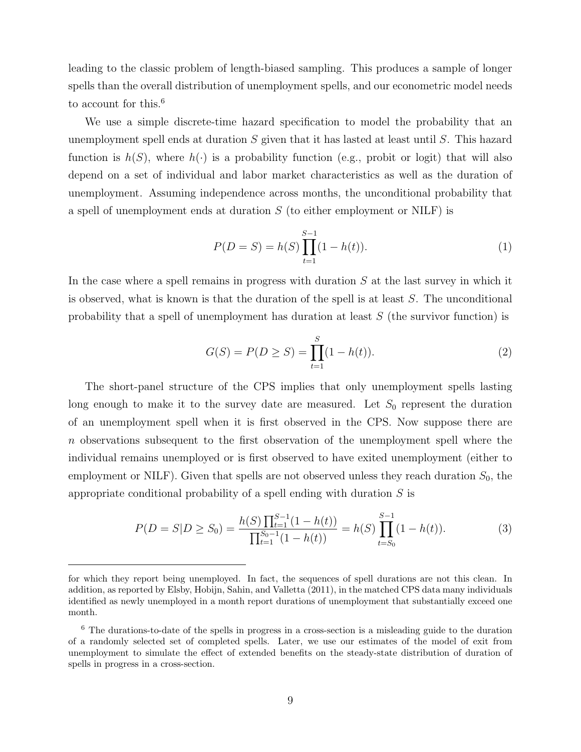leading to the classic problem of length-biased sampling. This produces a sample of longer spells than the overall distribution of unemployment spells, and our econometric model needs to account for this.<sup>6</sup>

We use a simple discrete-time hazard specification to model the probability that an unemployment spell ends at duration S given that it has lasted at least until S. This hazard function is  $h(S)$ , where  $h(\cdot)$  is a probability function (e.g., probit or logit) that will also depend on a set of individual and labor market characteristics as well as the duration of unemployment. Assuming independence across months, the unconditional probability that a spell of unemployment ends at duration  $S$  (to either employment or NILF) is

$$
P(D = S) = h(S) \prod_{t=1}^{S-1} (1 - h(t)).
$$
\n(1)

In the case where a spell remains in progress with duration  $S$  at the last survey in which it is observed, what is known is that the duration of the spell is at least  $S$ . The unconditional probability that a spell of unemployment has duration at least S (the survivor function) is

$$
G(S) = P(D \ge S) = \prod_{t=1}^{S} (1 - h(t)).
$$
\n(2)

The short-panel structure of the CPS implies that only unemployment spells lasting long enough to make it to the survey date are measured. Let  $S_0$  represent the duration of an unemployment spell when it is first observed in the CPS. Now suppose there are n observations subsequent to the first observation of the unemployment spell where the individual remains unemployed or is first observed to have exited unemployment (either to employment or NILF). Given that spells are not observed unless they reach duration  $S_0$ , the appropriate conditional probability of a spell ending with duration  $S$  is

$$
P(D = S|D \ge S_0) = \frac{h(S) \prod_{t=1}^{S-1} (1 - h(t))}{\prod_{t=1}^{S_0 - 1} (1 - h(t))} = h(S) \prod_{t=S_0}^{S-1} (1 - h(t)).
$$
\n(3)

for which they report being unemployed. In fact, the sequences of spell durations are not this clean. In addition, as reported by Elsby, Hobijn, Sahin, and Valletta (2011), in the matched CPS data many individuals identified as newly unemployed in a month report durations of unemployment that substantially exceed one month.

<sup>6</sup> The durations-to-date of the spells in progress in a cross-section is a misleading guide to the duration of a randomly selected set of completed spells. Later, we use our estimates of the model of exit from unemployment to simulate the effect of extended benefits on the steady-state distribution of duration of spells in progress in a cross-section.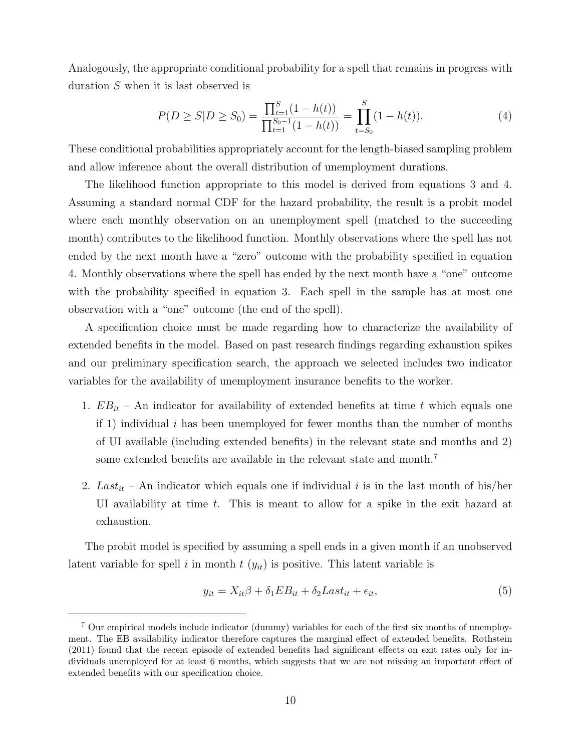Analogously, the appropriate conditional probability for a spell that remains in progress with duration S when it is last observed is

$$
P(D \ge S | D \ge S_0) = \frac{\prod_{t=1}^{S} (1 - h(t))}{\prod_{t=1}^{S_0 - 1} (1 - h(t))} = \prod_{t=S_0}^{S} (1 - h(t)).
$$
\n(4)

These conditional probabilities appropriately account for the length-biased sampling problem and allow inference about the overall distribution of unemployment durations.

The likelihood function appropriate to this model is derived from equations 3 and 4. Assuming a standard normal CDF for the hazard probability, the result is a probit model where each monthly observation on an unemployment spell (matched to the succeeding month) contributes to the likelihood function. Monthly observations where the spell has not ended by the next month have a "zero" outcome with the probability specified in equation 4. Monthly observations where the spell has ended by the next month have a "one" outcome with the probability specified in equation 3. Each spell in the sample has at most one observation with a "one" outcome (the end of the spell).

A specification choice must be made regarding how to characterize the availability of extended benefits in the model. Based on past research findings regarding exhaustion spikes and our preliminary specification search, the approach we selected includes two indicator variables for the availability of unemployment insurance benefits to the worker.

- 1.  $EB_{it}$  An indicator for availability of extended benefits at time t which equals one if 1) individual i has been unemployed for fewer months than the number of months of UI available (including extended benefits) in the relevant state and months and 2) some extended benefits are available in the relevant state and month.<sup>7</sup>
- 2.  $Last_{it}$  An indicator which equals one if individual i is in the last month of his/her UI availability at time t. This is meant to allow for a spike in the exit hazard at exhaustion.

The probit model is specified by assuming a spell ends in a given month if an unobserved latent variable for spell i in month  $t(y_{it})$  is positive. This latent variable is

$$
y_{it} = X_{it}\beta + \delta_1 EB_{it} + \delta_2Last_{it} + \epsilon_{it},\tag{5}
$$

<sup>7</sup> Our empirical models include indicator (dummy) variables for each of the first six months of unemployment. The EB availability indicator therefore captures the marginal effect of extended benefits. Rothstein (2011) found that the recent episode of extended benefits had significant effects on exit rates only for individuals unemployed for at least 6 months, which suggests that we are not missing an important effect of extended benefits with our specification choice.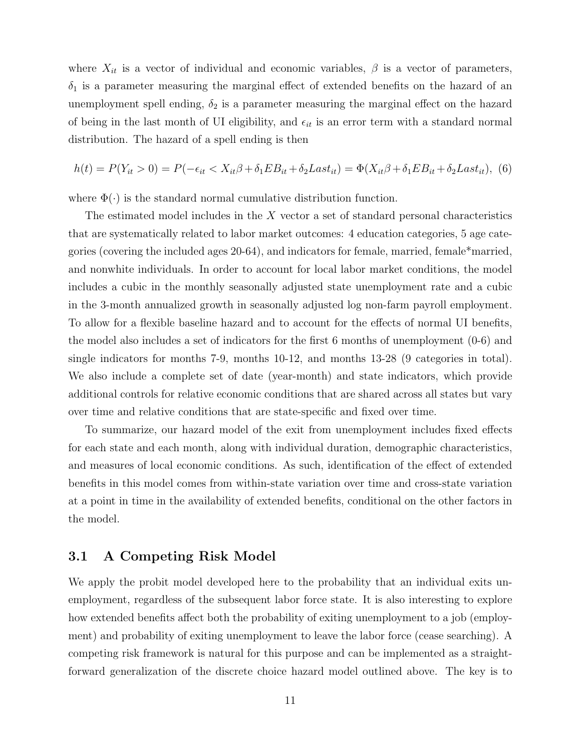where  $X_{it}$  is a vector of individual and economic variables,  $\beta$  is a vector of parameters,  $\delta_1$  is a parameter measuring the marginal effect of extended benefits on the hazard of an unemployment spell ending,  $\delta_2$  is a parameter measuring the marginal effect on the hazard of being in the last month of UI eligibility, and  $\epsilon_{it}$  is an error term with a standard normal distribution. The hazard of a spell ending is then

$$
h(t) = P(Y_{it} > 0) = P(-\epsilon_{it} < X_{it}\beta + \delta_1 EB_{it} + \delta_2Last_{it}) = \Phi(X_{it}\beta + \delta_1 EB_{it} + \delta_2Last_{it}),
$$
 (6)

where  $\Phi(\cdot)$  is the standard normal cumulative distribution function.

The estimated model includes in the  $X$  vector a set of standard personal characteristics that are systematically related to labor market outcomes: 4 education categories, 5 age categories (covering the included ages 20-64), and indicators for female, married, female\*married, and nonwhite individuals. In order to account for local labor market conditions, the model includes a cubic in the monthly seasonally adjusted state unemployment rate and a cubic in the 3-month annualized growth in seasonally adjusted log non-farm payroll employment. To allow for a flexible baseline hazard and to account for the effects of normal UI benefits, the model also includes a set of indicators for the first 6 months of unemployment (0-6) and single indicators for months 7-9, months 10-12, and months 13-28 (9 categories in total). We also include a complete set of date (year-month) and state indicators, which provide additional controls for relative economic conditions that are shared across all states but vary over time and relative conditions that are state-specific and fixed over time.

To summarize, our hazard model of the exit from unemployment includes fixed effects for each state and each month, along with individual duration, demographic characteristics, and measures of local economic conditions. As such, identification of the effect of extended benefits in this model comes from within-state variation over time and cross-state variation at a point in time in the availability of extended benefits, conditional on the other factors in the model.

### 3.1 A Competing Risk Model

We apply the probit model developed here to the probability that an individual exits unemployment, regardless of the subsequent labor force state. It is also interesting to explore how extended benefits affect both the probability of exiting unemployment to a job (employment) and probability of exiting unemployment to leave the labor force (cease searching). A competing risk framework is natural for this purpose and can be implemented as a straightforward generalization of the discrete choice hazard model outlined above. The key is to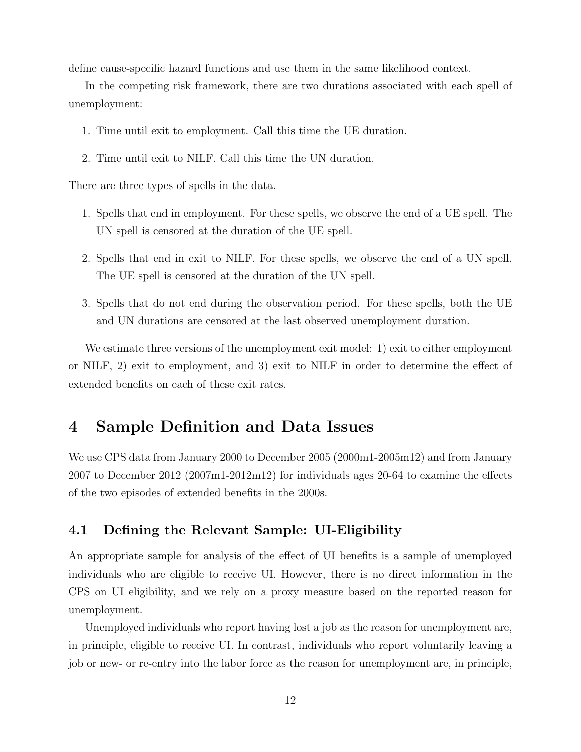define cause-specific hazard functions and use them in the same likelihood context.

In the competing risk framework, there are two durations associated with each spell of unemployment:

- 1. Time until exit to employment. Call this time the UE duration.
- 2. Time until exit to NILF. Call this time the UN duration.

There are three types of spells in the data.

- 1. Spells that end in employment. For these spells, we observe the end of a UE spell. The UN spell is censored at the duration of the UE spell.
- 2. Spells that end in exit to NILF. For these spells, we observe the end of a UN spell. The UE spell is censored at the duration of the UN spell.
- 3. Spells that do not end during the observation period. For these spells, both the UE and UN durations are censored at the last observed unemployment duration.

We estimate three versions of the unemployment exit model: 1) exit to either employment or NILF, 2) exit to employment, and 3) exit to NILF in order to determine the effect of extended benefits on each of these exit rates.

# 4 Sample Definition and Data Issues

We use CPS data from January 2000 to December 2005 (2000m1-2005m12) and from January 2007 to December 2012 (2007m1-2012m12) for individuals ages 20-64 to examine the effects of the two episodes of extended benefits in the 2000s.

### 4.1 Defining the Relevant Sample: UI-Eligibility

An appropriate sample for analysis of the effect of UI benefits is a sample of unemployed individuals who are eligible to receive UI. However, there is no direct information in the CPS on UI eligibility, and we rely on a proxy measure based on the reported reason for unemployment.

Unemployed individuals who report having lost a job as the reason for unemployment are, in principle, eligible to receive UI. In contrast, individuals who report voluntarily leaving a job or new- or re-entry into the labor force as the reason for unemployment are, in principle,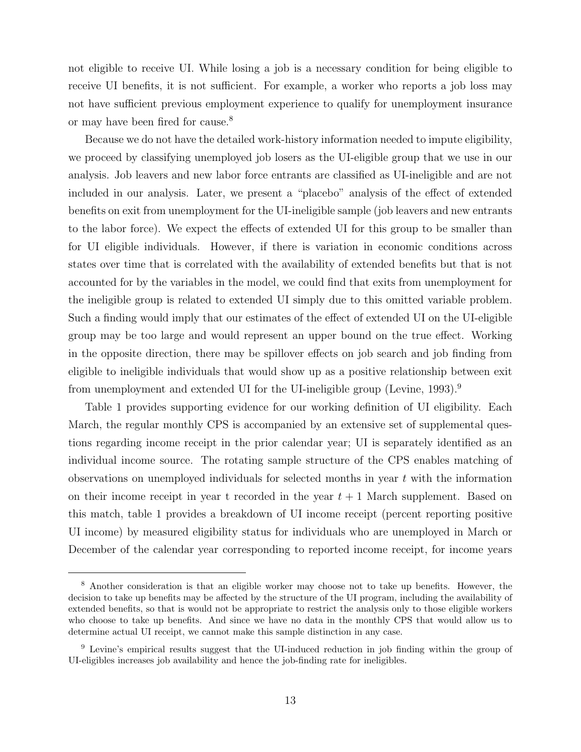not eligible to receive UI. While losing a job is a necessary condition for being eligible to receive UI benefits, it is not sufficient. For example, a worker who reports a job loss may not have sufficient previous employment experience to qualify for unemployment insurance or may have been fired for cause.<sup>8</sup>

Because we do not have the detailed work-history information needed to impute eligibility, we proceed by classifying unemployed job losers as the UI-eligible group that we use in our analysis. Job leavers and new labor force entrants are classified as UI-ineligible and are not included in our analysis. Later, we present a "placebo" analysis of the effect of extended benefits on exit from unemployment for the UI-ineligible sample (job leavers and new entrants to the labor force). We expect the effects of extended UI for this group to be smaller than for UI eligible individuals. However, if there is variation in economic conditions across states over time that is correlated with the availability of extended benefits but that is not accounted for by the variables in the model, we could find that exits from unemployment for the ineligible group is related to extended UI simply due to this omitted variable problem. Such a finding would imply that our estimates of the effect of extended UI on the UI-eligible group may be too large and would represent an upper bound on the true effect. Working in the opposite direction, there may be spillover effects on job search and job finding from eligible to ineligible individuals that would show up as a positive relationship between exit from unemployment and extended UI for the UI-ineligible group (Levine, 1993).<sup>9</sup>

Table 1 provides supporting evidence for our working definition of UI eligibility. Each March, the regular monthly CPS is accompanied by an extensive set of supplemental questions regarding income receipt in the prior calendar year; UI is separately identified as an individual income source. The rotating sample structure of the CPS enables matching of observations on unemployed individuals for selected months in year t with the information on their income receipt in year t recorded in the year  $t + 1$  March supplement. Based on this match, table 1 provides a breakdown of UI income receipt (percent reporting positive UI income) by measured eligibility status for individuals who are unemployed in March or December of the calendar year corresponding to reported income receipt, for income years

<sup>8</sup> Another consideration is that an eligible worker may choose not to take up benefits. However, the decision to take up benefits may be affected by the structure of the UI program, including the availability of extended benefits, so that is would not be appropriate to restrict the analysis only to those eligible workers who choose to take up benefits. And since we have no data in the monthly CPS that would allow us to determine actual UI receipt, we cannot make this sample distinction in any case.

<sup>9</sup> Levine's empirical results suggest that the UI-induced reduction in job finding within the group of UI-eligibles increases job availability and hence the job-finding rate for ineligibles.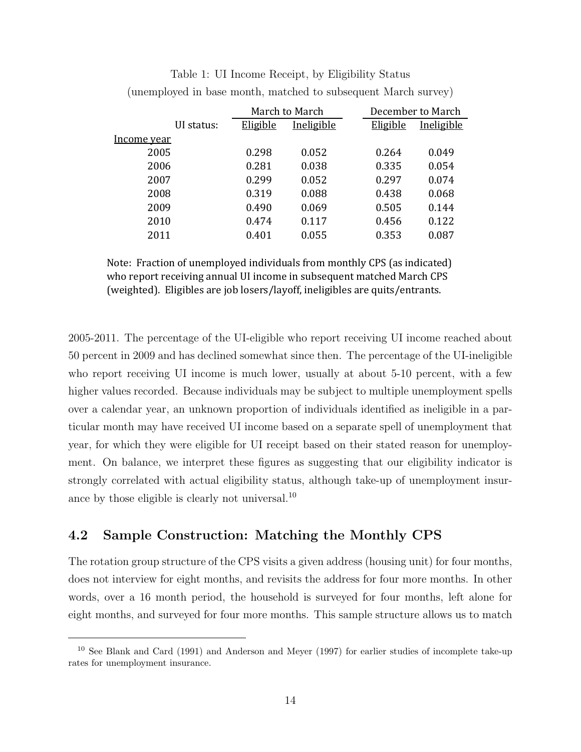|             |            |          | March to March |          | December to March |
|-------------|------------|----------|----------------|----------|-------------------|
|             | UI status: | Eligible | Ineligible     | Eligible | Ineligible        |
| Income year |            |          |                |          |                   |
| 2005        |            | 0.298    | 0.052          | 0.264    | 0.049             |
| 2006        |            | 0.281    | 0.038          | 0.335    | 0.054             |
| 2007        |            | 0.299    | 0.052          | 0.297    | 0.074             |
| 2008        |            | 0.319    | 0.088          | 0.438    | 0.068             |
| 2009        |            | 0.490    | 0.069          | 0.505    | 0.144             |
| 2010        |            | 0.474    | 0.117          | 0.456    | 0.122             |
| 2011        |            | 0.401    | 0.055          | 0.353    | 0.087             |

Table 1: UI Income Receipt, by Eligibility Status (unemployed in base month, matched to subsequent March survey)

Note: Fraction of unemployed individuals from monthly CPS (as indicated) who report receiving annual UI income in subsequent matched March CPS (weighted). Eligibles are job losers/layoff, ineligibles are quits/entrants.

2005-2011. The percentage of the UI-eligible who report receiving UI income reached about 50 percent in 2009 and has declined somewhat since then. The percentage of the UI-ineligible who report receiving UI income is much lower, usually at about 5-10 percent, with a few higher values recorded. Because individuals may be subject to multiple unemployment spells over a calendar year, an unknown proportion of individuals identified as ineligible in a particular month may have received UI income based on a separate spell of unemployment that year, for which they were eligible for UI receipt based on their stated reason for unemployment. On balance, we interpret these figures as suggesting that our eligibility indicator is strongly correlated with actual eligibility status, although take-up of unemployment insurance by those eligible is clearly not universal.<sup>10</sup>

## 4.2 Sample Construction: Matching the Monthly CPS

The rotation group structure of the CPS visits a given address (housing unit) for four months, does not interview for eight months, and revisits the address for four more months. In other words, over a 16 month period, the household is surveyed for four months, left alone for eight months, and surveyed for four more months. This sample structure allows us to match

<sup>10</sup> See Blank and Card (1991) and Anderson and Meyer (1997) for earlier studies of incomplete take-up rates for unemployment insurance.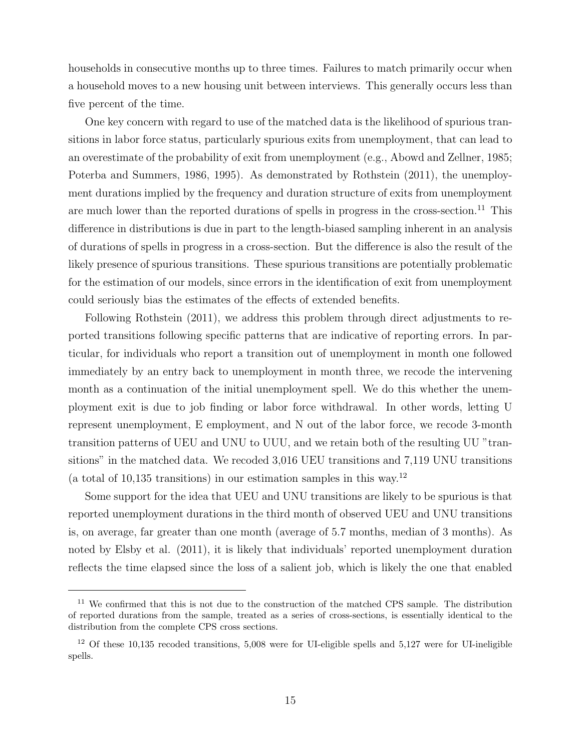households in consecutive months up to three times. Failures to match primarily occur when a household moves to a new housing unit between interviews. This generally occurs less than five percent of the time.

One key concern with regard to use of the matched data is the likelihood of spurious transitions in labor force status, particularly spurious exits from unemployment, that can lead to an overestimate of the probability of exit from unemployment (e.g., Abowd and Zellner, 1985; Poterba and Summers, 1986, 1995). As demonstrated by Rothstein (2011), the unemployment durations implied by the frequency and duration structure of exits from unemployment are much lower than the reported durations of spells in progress in the cross-section.<sup>11</sup> This difference in distributions is due in part to the length-biased sampling inherent in an analysis of durations of spells in progress in a cross-section. But the difference is also the result of the likely presence of spurious transitions. These spurious transitions are potentially problematic for the estimation of our models, since errors in the identification of exit from unemployment could seriously bias the estimates of the effects of extended benefits.

Following Rothstein (2011), we address this problem through direct adjustments to reported transitions following specific patterns that are indicative of reporting errors. In particular, for individuals who report a transition out of unemployment in month one followed immediately by an entry back to unemployment in month three, we recode the intervening month as a continuation of the initial unemployment spell. We do this whether the unemployment exit is due to job finding or labor force withdrawal. In other words, letting U represent unemployment, E employment, and N out of the labor force, we recode 3-month transition patterns of UEU and UNU to UUU, and we retain both of the resulting UU "transitions" in the matched data. We recoded 3,016 UEU transitions and 7,119 UNU transitions (a total of 10,135 transitions) in our estimation samples in this way.<sup>12</sup>

Some support for the idea that UEU and UNU transitions are likely to be spurious is that reported unemployment durations in the third month of observed UEU and UNU transitions is, on average, far greater than one month (average of 5.7 months, median of 3 months). As noted by Elsby et al. (2011), it is likely that individuals' reported unemployment duration reflects the time elapsed since the loss of a salient job, which is likely the one that enabled

<sup>&</sup>lt;sup>11</sup> We confirmed that this is not due to the construction of the matched CPS sample. The distribution of reported durations from the sample, treated as a series of cross-sections, is essentially identical to the distribution from the complete CPS cross sections.

<sup>&</sup>lt;sup>12</sup> Of these 10,135 recoded transitions, 5,008 were for UI-eligible spells and 5,127 were for UI-ineligible spells.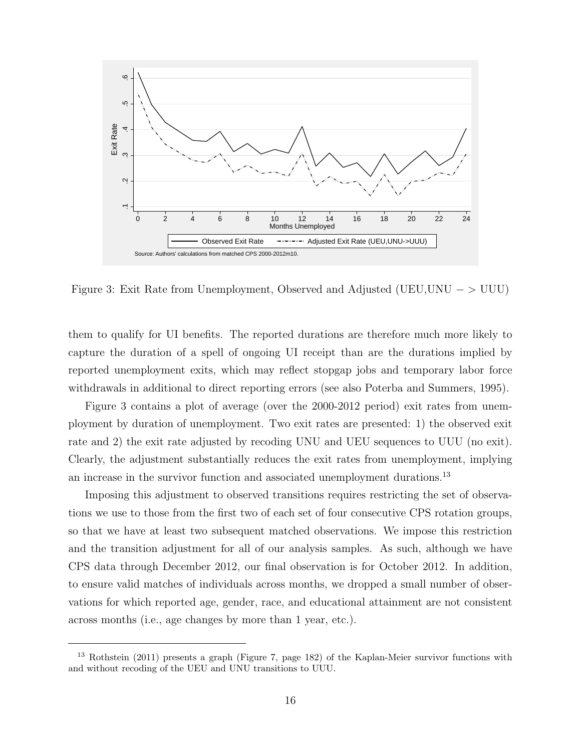

Figure 3: Exit Rate from Unemployment, Observed and Adjusted (UEU,UNU  $-$  > UUU)

them to qualify for UI benefits. The reported durations are therefore much more likely to capture the duration of a spell of ongoing UI receipt than are the durations implied by reported unemployment exits, which may reflect stopgap jobs and temporary labor force withdrawals in additional to direct reporting errors (see also Poterba and Summers, 1995).

Figure 3 contains a plot of average (over the 2000-2012 period) exit rates from unemployment by duration of unemployment. Two exit rates are presented: 1) the observed exit rate and 2) the exit rate adjusted by recoding UNU and UEU sequences to UUU (no exit). Clearly, the adjustment substantially reduces the exit rates from unemployment, implying an increase in the survivor function and associated unemployment durations.<sup>13</sup>

Imposing this adjustment to observed transitions requires restricting the set of observations we use to those from the first two of each set of four consecutive CPS rotation groups, so that we have at least two subsequent matched observations. We impose this restriction and the transition adjustment for all of our analysis samples. As such, although we have CPS data through December 2012, our final observation is for October 2012. In addition, to ensure valid matches of individuals across months, we dropped a small number of observations for which reported age, gender, race, and educational attainment are not consistent across months (i.e., age changes by more than 1 year, etc.).

<sup>13</sup> Rothstein (2011) presents a graph (Figure 7, page 182) of the Kaplan-Meier survivor functions with and without recoding of the UEU and UNU transitions to UUU.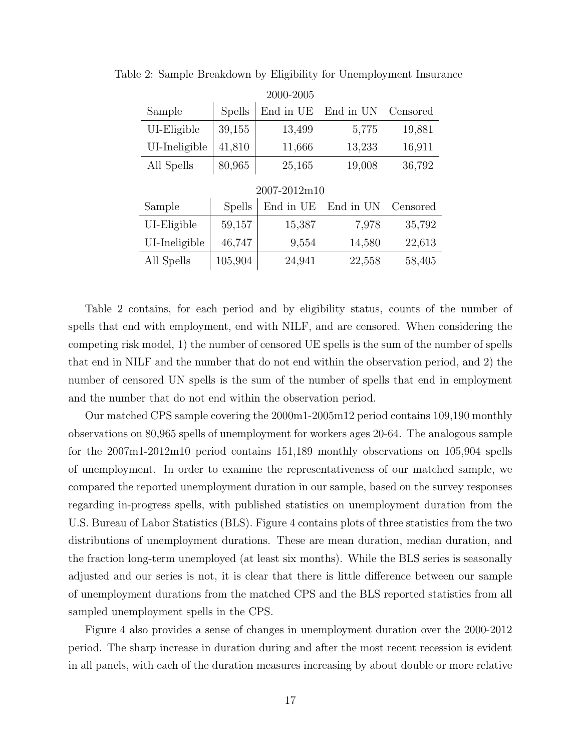|               |               | ZUUU-ZUUƏ    |           |          |
|---------------|---------------|--------------|-----------|----------|
| Sample        | <b>Spells</b> | End in UE    | End in UN | Censored |
| UI-Eligible   | 39,155        | 13,499       | 5,775     | 19,881   |
| UI-Ineligible | 41,810        | 11,666       | 13,233    | 16,911   |
| All Spells    | 80,965        | 25,165       | 19,008    | 36,792   |
|               |               | 2007-2012m10 |           |          |
| Sample        | <b>Spells</b> | End in UE    | End in UN | Censored |
| UI-Eligible   | 59,157        | 15,387       | 7,978     | 35,792   |
| UI-Ineligible | 46,747        | 9,554        | 14,580    | 22,613   |
| All Spells    | 105,904       | 24,941       | 22,558    | 58,405   |
|               |               |              |           |          |

Table 2: Sample Breakdown by Eligibility for Unemployment Insurance 2000-2005

Table 2 contains, for each period and by eligibility status, counts of the number of spells that end with employment, end with NILF, and are censored. When considering the competing risk model, 1) the number of censored UE spells is the sum of the number of spells that end in NILF and the number that do not end within the observation period, and 2) the number of censored UN spells is the sum of the number of spells that end in employment and the number that do not end within the observation period.

Our matched CPS sample covering the 2000m1-2005m12 period contains 109,190 monthly observations on 80,965 spells of unemployment for workers ages 20-64. The analogous sample for the 2007m1-2012m10 period contains 151,189 monthly observations on 105,904 spells of unemployment. In order to examine the representativeness of our matched sample, we compared the reported unemployment duration in our sample, based on the survey responses regarding in-progress spells, with published statistics on unemployment duration from the U.S. Bureau of Labor Statistics (BLS). Figure 4 contains plots of three statistics from the two distributions of unemployment durations. These are mean duration, median duration, and the fraction long-term unemployed (at least six months). While the BLS series is seasonally adjusted and our series is not, it is clear that there is little difference between our sample of unemployment durations from the matched CPS and the BLS reported statistics from all sampled unemployment spells in the CPS.

Figure 4 also provides a sense of changes in unemployment duration over the 2000-2012 period. The sharp increase in duration during and after the most recent recession is evident in all panels, with each of the duration measures increasing by about double or more relative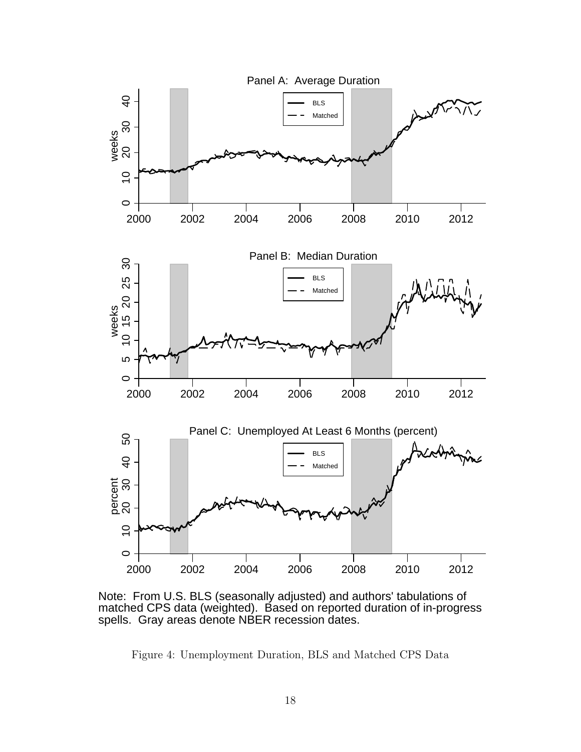

Note: From U.S. BLS (seasonally adjusted) and authors' tabulations of matched CPS data (weighted). Based on reported duration of in-progress spells. Gray areas denote NBER recession dates.

Figure 4: Unemployment Duration, BLS and Matched CPS Data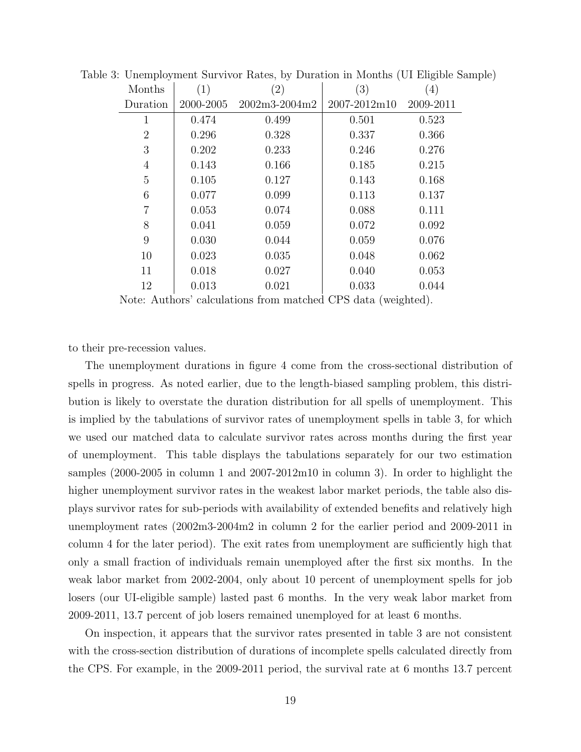| Months         | (1)       | $\left( 2\right)$ | (3)                      | $\left( 4\right)$ |
|----------------|-----------|-------------------|--------------------------|-------------------|
| Duration       | 2000-2005 | 2002m3-2004m2     | $2007 - 2012 \text{m}10$ | 2009-2011         |
| 1              | 0.474     | 0.499             | 0.501                    | 0.523             |
| $\overline{2}$ | 0.296     | 0.328             | 0.337                    | 0.366             |
| 3              | 0.202     | 0.233             | 0.246                    | 0.276             |
| 4              | 0.143     | 0.166             | 0.185                    | 0.215             |
| $\overline{5}$ | 0.105     | 0.127             | 0.143                    | 0.168             |
| 6              | 0.077     | 0.099             | 0.113                    | 0.137             |
| 7              | 0.053     | 0.074             | 0.088                    | 0.111             |
| 8              | 0.041     | 0.059             | 0.072                    | 0.092             |
| 9              | 0.030     | 0.044             | 0.059                    | 0.076             |
| 10             | 0.023     | 0.035             | 0.048                    | 0.062             |
| 11             | 0.018     | 0.027             | 0.040                    | 0.053             |
| 12             | 0.013     | 0.021             | 0.033                    | 0.044             |
|                |           |                   |                          |                   |

Table 3: Unemployment Survivor Rates, by Duration in Months (UI Eligible Sample)

Note: Authors' calculations from matched CPS data (weighted).

to their pre-recession values.

The unemployment durations in figure 4 come from the cross-sectional distribution of spells in progress. As noted earlier, due to the length-biased sampling problem, this distribution is likely to overstate the duration distribution for all spells of unemployment. This is implied by the tabulations of survivor rates of unemployment spells in table 3, for which we used our matched data to calculate survivor rates across months during the first year of unemployment. This table displays the tabulations separately for our two estimation samples (2000-2005 in column 1 and 2007-2012m10 in column 3). In order to highlight the higher unemployment survivor rates in the weakest labor market periods, the table also displays survivor rates for sub-periods with availability of extended benefits and relatively high unemployment rates (2002m3-2004m2 in column 2 for the earlier period and 2009-2011 in column 4 for the later period). The exit rates from unemployment are sufficiently high that only a small fraction of individuals remain unemployed after the first six months. In the weak labor market from 2002-2004, only about 10 percent of unemployment spells for job losers (our UI-eligible sample) lasted past 6 months. In the very weak labor market from 2009-2011, 13.7 percent of job losers remained unemployed for at least 6 months.

On inspection, it appears that the survivor rates presented in table 3 are not consistent with the cross-section distribution of durations of incomplete spells calculated directly from the CPS. For example, in the 2009-2011 period, the survival rate at 6 months 13.7 percent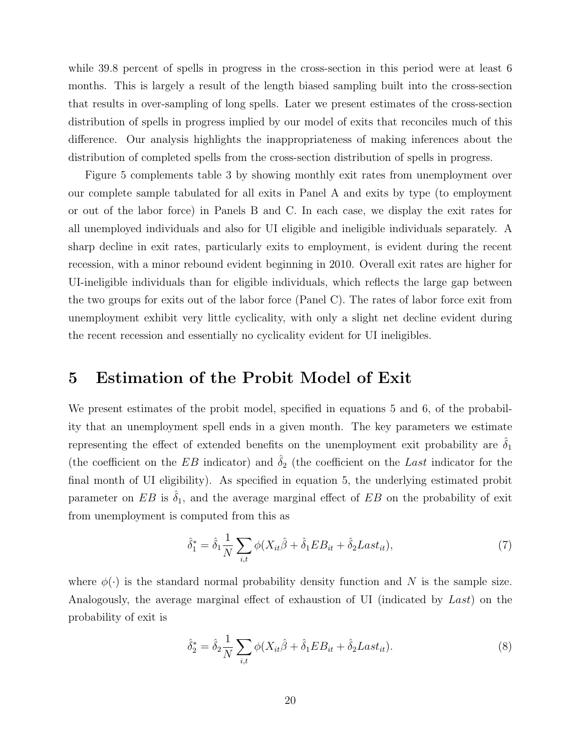while 39.8 percent of spells in progress in the cross-section in this period were at least 6 months. This is largely a result of the length biased sampling built into the cross-section that results in over-sampling of long spells. Later we present estimates of the cross-section distribution of spells in progress implied by our model of exits that reconciles much of this difference. Our analysis highlights the inappropriateness of making inferences about the distribution of completed spells from the cross-section distribution of spells in progress.

Figure 5 complements table 3 by showing monthly exit rates from unemployment over our complete sample tabulated for all exits in Panel A and exits by type (to employment or out of the labor force) in Panels B and C. In each case, we display the exit rates for all unemployed individuals and also for UI eligible and ineligible individuals separately. A sharp decline in exit rates, particularly exits to employment, is evident during the recent recession, with a minor rebound evident beginning in 2010. Overall exit rates are higher for UI-ineligible individuals than for eligible individuals, which reflects the large gap between the two groups for exits out of the labor force (Panel C). The rates of labor force exit from unemployment exhibit very little cyclicality, with only a slight net decline evident during the recent recession and essentially no cyclicality evident for UI ineligibles.

## 5 Estimation of the Probit Model of Exit

We present estimates of the probit model, specified in equations 5 and 6, of the probability that an unemployment spell ends in a given month. The key parameters we estimate representing the effect of extended benefits on the unemployment exit probability are  $\hat{\delta}_1$ (the coefficient on the EB indicator) and  $\hat{\delta}_2$  (the coefficient on the Last indicator for the final month of UI eligibility). As specified in equation 5, the underlying estimated probit parameter on EB is  $\delta_1$ , and the average marginal effect of EB on the probability of exit from unemployment is computed from this as

$$
\hat{\delta}_1^* = \hat{\delta}_1 \frac{1}{N} \sum_{i,t} \phi(X_{it}\hat{\beta} + \hat{\delta}_1 EB_{it} + \hat{\delta}_2Last_{it}),\tag{7}
$$

where  $\phi(\cdot)$  is the standard normal probability density function and N is the sample size. Analogously, the average marginal effect of exhaustion of UI (indicated by Last) on the probability of exit is

$$
\hat{\delta}_2^* = \hat{\delta}_2 \frac{1}{N} \sum_{i,t} \phi(X_{it}\hat{\beta} + \hat{\delta}_1 EB_{it} + \hat{\delta}_2Last_{it}). \tag{8}
$$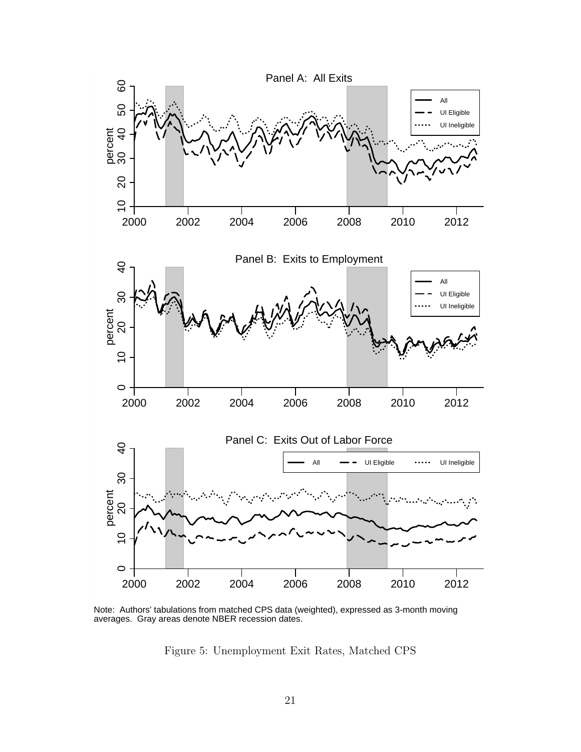

Note: Authors' tabulations from matched CPS data (weighted), expressed as 3-month moving averages. Gray areas denote NBER recession dates.

Figure 5: Unemployment Exit Rates, Matched CPS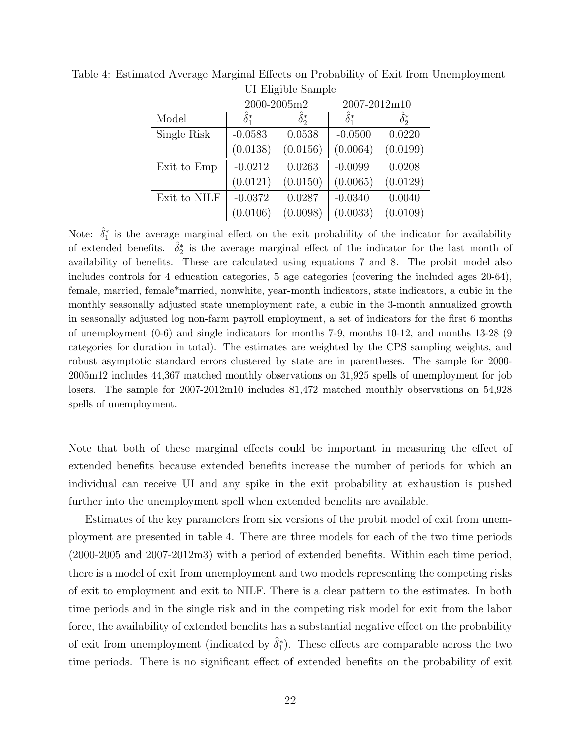|              | 2000-2005m2          |                  | 2007-2012m10       |                    |
|--------------|----------------------|------------------|--------------------|--------------------|
| Model        | $\hat{\delta}^*_{1}$ | $\hat{\delta}^*$ | $\hat{\delta}_1^*$ | $\hat{\delta}^*_2$ |
| Single Risk  | $-0.0583$            | 0.0538           | $-0.0500$          | 0.0220             |
|              | (0.0138)             | (0.0156)         | (0.0064)           | (0.0199)           |
| Exit to Emp  | $-0.0212$            | 0.0263           | $-0.0099$          | 0.0208             |
|              | (0.0121)             | (0.0150)         | (0.0065)           | (0.0129)           |
| Exit to NILF | $-0.0372$            | 0.0287           | $-0.0340$          | 0.0040             |
|              | (0.0106)             | (0.0098)         | (0.0033)           | (0.0109)           |

Table 4: Estimated Average Marginal Effects on Probability of Exit from Unemployment UI Eligible Sample

Note:  $\hat{\delta}_1^*$  is the average marginal effect on the exit probability of the indicator for availability of extended benefits.  $\hat{\delta}_2^*$  is the average marginal effect of the indicator for the last month of availability of benefits. These are calculated using equations 7 and 8. The probit model also includes controls for 4 education categories, 5 age categories (covering the included ages 20-64), female, married, female\*married, nonwhite, year-month indicators, state indicators, a cubic in the monthly seasonally adjusted state unemployment rate, a cubic in the 3-month annualized growth in seasonally adjusted log non-farm payroll employment, a set of indicators for the first 6 months of unemployment (0-6) and single indicators for months 7-9, months 10-12, and months 13-28 (9 categories for duration in total). The estimates are weighted by the CPS sampling weights, and robust asymptotic standard errors clustered by state are in parentheses. The sample for 2000- 2005m12 includes 44,367 matched monthly observations on 31,925 spells of unemployment for job losers. The sample for 2007-2012m10 includes 81,472 matched monthly observations on 54,928 spells of unemployment.

Note that both of these marginal effects could be important in measuring the effect of extended benefits because extended benefits increase the number of periods for which an individual can receive UI and any spike in the exit probability at exhaustion is pushed further into the unemployment spell when extended benefits are available.

Estimates of the key parameters from six versions of the probit model of exit from unemployment are presented in table 4. There are three models for each of the two time periods (2000-2005 and 2007-2012m3) with a period of extended benefits. Within each time period, there is a model of exit from unemployment and two models representing the competing risks of exit to employment and exit to NILF. There is a clear pattern to the estimates. In both time periods and in the single risk and in the competing risk model for exit from the labor force, the availability of extended benefits has a substantial negative effect on the probability of exit from unemployment (indicated by  $\hat{\delta}_1^*$ ). These effects are comparable across the two time periods. There is no significant effect of extended benefits on the probability of exit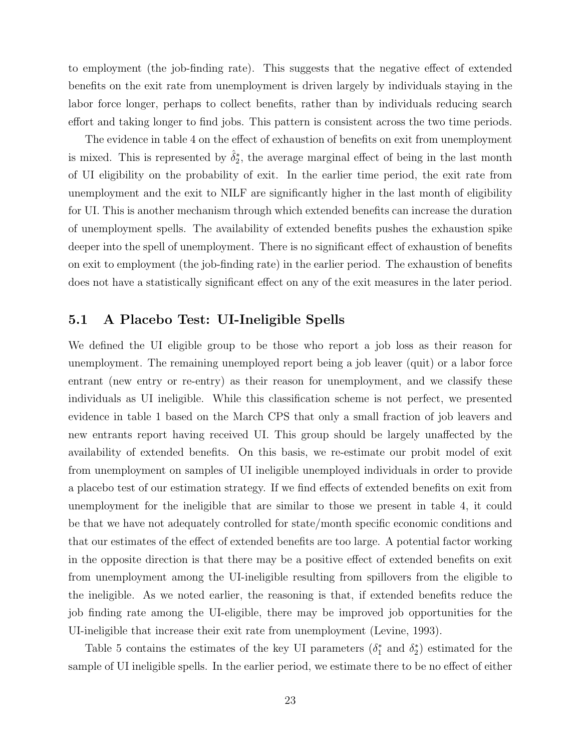to employment (the job-finding rate). This suggests that the negative effect of extended benefits on the exit rate from unemployment is driven largely by individuals staying in the labor force longer, perhaps to collect benefits, rather than by individuals reducing search effort and taking longer to find jobs. This pattern is consistent across the two time periods.

The evidence in table 4 on the effect of exhaustion of benefits on exit from unemployment is mixed. This is represented by  $\hat{\delta}_2^*$ , the average marginal effect of being in the last month of UI eligibility on the probability of exit. In the earlier time period, the exit rate from unemployment and the exit to NILF are significantly higher in the last month of eligibility for UI. This is another mechanism through which extended benefits can increase the duration of unemployment spells. The availability of extended benefits pushes the exhaustion spike deeper into the spell of unemployment. There is no significant effect of exhaustion of benefits on exit to employment (the job-finding rate) in the earlier period. The exhaustion of benefits does not have a statistically significant effect on any of the exit measures in the later period.

## 5.1 A Placebo Test: UI-Ineligible Spells

We defined the UI eligible group to be those who report a job loss as their reason for unemployment. The remaining unemployed report being a job leaver (quit) or a labor force entrant (new entry or re-entry) as their reason for unemployment, and we classify these individuals as UI ineligible. While this classification scheme is not perfect, we presented evidence in table 1 based on the March CPS that only a small fraction of job leavers and new entrants report having received UI. This group should be largely unaffected by the availability of extended benefits. On this basis, we re-estimate our probit model of exit from unemployment on samples of UI ineligible unemployed individuals in order to provide a placebo test of our estimation strategy. If we find effects of extended benefits on exit from unemployment for the ineligible that are similar to those we present in table 4, it could be that we have not adequately controlled for state/month specific economic conditions and that our estimates of the effect of extended benefits are too large. A potential factor working in the opposite direction is that there may be a positive effect of extended benefits on exit from unemployment among the UI-ineligible resulting from spillovers from the eligible to the ineligible. As we noted earlier, the reasoning is that, if extended benefits reduce the job finding rate among the UI-eligible, there may be improved job opportunities for the UI-ineligible that increase their exit rate from unemployment (Levine, 1993).

Table 5 contains the estimates of the key UI parameters  $(\delta_1^*$  and  $\delta_2^*)$  estimated for the sample of UI ineligible spells. In the earlier period, we estimate there to be no effect of either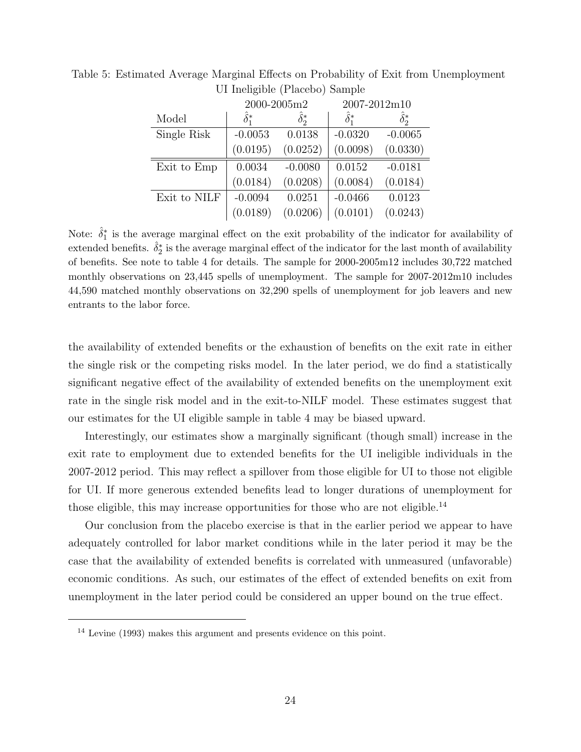|              | 2000-2005m2        |                  | 2007-2012m10       |                  |
|--------------|--------------------|------------------|--------------------|------------------|
| Model        | $\hat{\delta}_1^*$ | $\hat{\delta}^*$ | $\hat{\delta}_1^*$ | $\hat{\delta}^*$ |
| Single Risk  | $-0.0053$          | 0.0138           | $-0.0320$          | $-0.0065$        |
|              | (0.0195)           | (0.0252)         | (0.0098)           | (0.0330)         |
| Exit to Emp  | 0.0034             | $-0.0080$        | 0.0152             | $-0.0181$        |
|              | (0.0184)           | (0.0208)         | (0.0084)           | (0.0184)         |
| Exit to NILF | $-0.0094$          | 0.0251           | $-0.0466$          | 0.0123           |
|              | (0.0189)           | (0.0206)         | (0.0101)           | (0.0243)         |

Table 5: Estimated Average Marginal Effects on Probability of Exit from Unemployment UI Ineligible (Placebo) Sample

Note:  $\hat{\delta}_1^*$  is the average marginal effect on the exit probability of the indicator for availability of extended benefits.  $\hat{\delta}^*_2$  is the average marginal effect of the indicator for the last month of availability of benefits. See note to table 4 for details. The sample for 2000-2005m12 includes 30,722 matched monthly observations on 23,445 spells of unemployment. The sample for 2007-2012m10 includes 44,590 matched monthly observations on 32,290 spells of unemployment for job leavers and new entrants to the labor force.

the availability of extended benefits or the exhaustion of benefits on the exit rate in either the single risk or the competing risks model. In the later period, we do find a statistically significant negative effect of the availability of extended benefits on the unemployment exit rate in the single risk model and in the exit-to-NILF model. These estimates suggest that our estimates for the UI eligible sample in table 4 may be biased upward.

Interestingly, our estimates show a marginally significant (though small) increase in the exit rate to employment due to extended benefits for the UI ineligible individuals in the 2007-2012 period. This may reflect a spillover from those eligible for UI to those not eligible for UI. If more generous extended benefits lead to longer durations of unemployment for those eligible, this may increase opportunities for those who are not eligible.<sup>14</sup>

Our conclusion from the placebo exercise is that in the earlier period we appear to have adequately controlled for labor market conditions while in the later period it may be the case that the availability of extended benefits is correlated with unmeasured (unfavorable) economic conditions. As such, our estimates of the effect of extended benefits on exit from unemployment in the later period could be considered an upper bound on the true effect.

<sup>14</sup> Levine (1993) makes this argument and presents evidence on this point.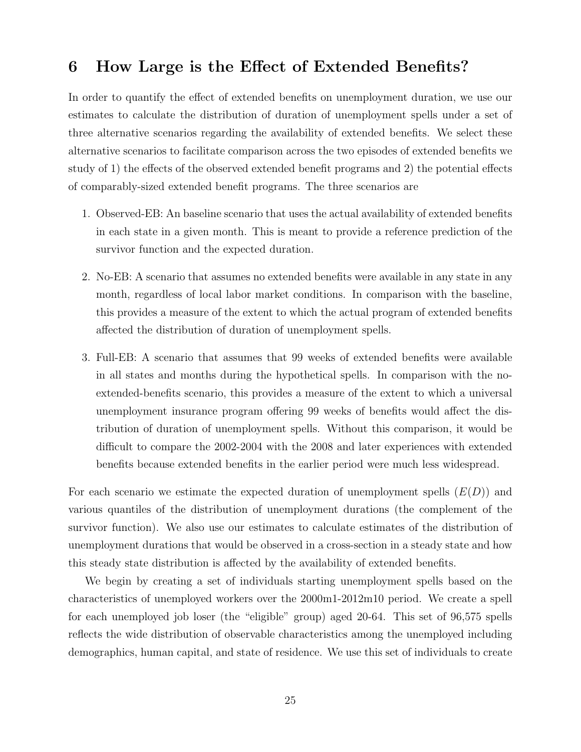# 6 How Large is the Effect of Extended Benefits?

In order to quantify the effect of extended benefits on unemployment duration, we use our estimates to calculate the distribution of duration of unemployment spells under a set of three alternative scenarios regarding the availability of extended benefits. We select these alternative scenarios to facilitate comparison across the two episodes of extended benefits we study of 1) the effects of the observed extended benefit programs and 2) the potential effects of comparably-sized extended benefit programs. The three scenarios are

- 1. Observed-EB: An baseline scenario that uses the actual availability of extended benefits in each state in a given month. This is meant to provide a reference prediction of the survivor function and the expected duration.
- 2. No-EB: A scenario that assumes no extended benefits were available in any state in any month, regardless of local labor market conditions. In comparison with the baseline, this provides a measure of the extent to which the actual program of extended benefits affected the distribution of duration of unemployment spells.
- 3. Full-EB: A scenario that assumes that 99 weeks of extended benefits were available in all states and months during the hypothetical spells. In comparison with the noextended-benefits scenario, this provides a measure of the extent to which a universal unemployment insurance program offering 99 weeks of benefits would affect the distribution of duration of unemployment spells. Without this comparison, it would be difficult to compare the 2002-2004 with the 2008 and later experiences with extended benefits because extended benefits in the earlier period were much less widespread.

For each scenario we estimate the expected duration of unemployment spells  $(E(D))$  and various quantiles of the distribution of unemployment durations (the complement of the survivor function). We also use our estimates to calculate estimates of the distribution of unemployment durations that would be observed in a cross-section in a steady state and how this steady state distribution is affected by the availability of extended benefits.

We begin by creating a set of individuals starting unemployment spells based on the characteristics of unemployed workers over the 2000m1-2012m10 period. We create a spell for each unemployed job loser (the "eligible" group) aged 20-64. This set of 96,575 spells reflects the wide distribution of observable characteristics among the unemployed including demographics, human capital, and state of residence. We use this set of individuals to create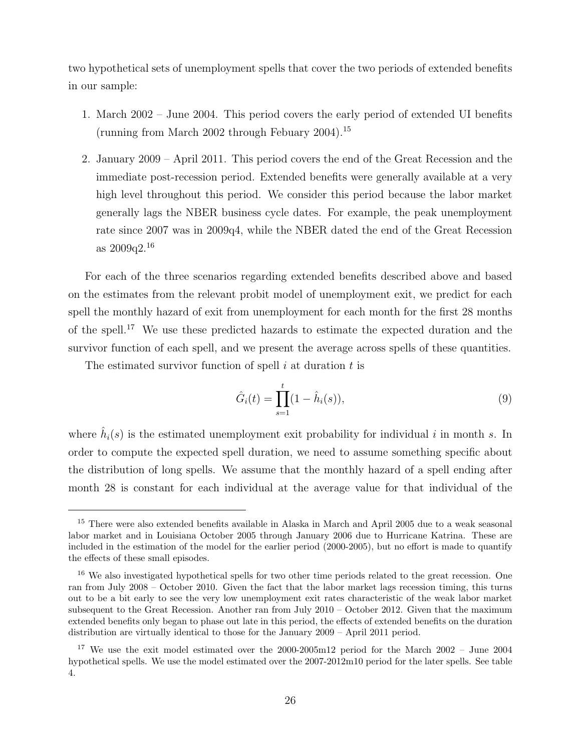two hypothetical sets of unemployment spells that cover the two periods of extended benefits in our sample:

- 1. March 2002 June 2004. This period covers the early period of extended UI benefits (running from March 2002 through Febuary 2004).<sup>15</sup>
- 2. January 2009 April 2011. This period covers the end of the Great Recession and the immediate post-recession period. Extended benefits were generally available at a very high level throughout this period. We consider this period because the labor market generally lags the NBER business cycle dates. For example, the peak unemployment rate since 2007 was in 2009q4, while the NBER dated the end of the Great Recession as 2009q2.<sup>16</sup>

For each of the three scenarios regarding extended benefits described above and based on the estimates from the relevant probit model of unemployment exit, we predict for each spell the monthly hazard of exit from unemployment for each month for the first 28 months of the spell.<sup>17</sup> We use these predicted hazards to estimate the expected duration and the survivor function of each spell, and we present the average across spells of these quantities.

The estimated survivor function of spell  $i$  at duration  $t$  is

$$
\hat{G}_i(t) = \prod_{s=1}^t (1 - \hat{h}_i(s)),\tag{9}
$$

where  $\hat{h}_i(s)$  is the estimated unemployment exit probability for individual i in month s. In order to compute the expected spell duration, we need to assume something specific about the distribution of long spells. We assume that the monthly hazard of a spell ending after month 28 is constant for each individual at the average value for that individual of the

<sup>&</sup>lt;sup>15</sup> There were also extended benefits available in Alaska in March and April 2005 due to a weak seasonal labor market and in Louisiana October 2005 through January 2006 due to Hurricane Katrina. These are included in the estimation of the model for the earlier period (2000-2005), but no effort is made to quantify the effects of these small episodes.

<sup>&</sup>lt;sup>16</sup> We also investigated hypothetical spells for two other time periods related to the great recession. One ran from July 2008 – October 2010. Given the fact that the labor market lags recession timing, this turns out to be a bit early to see the very low unemployment exit rates characteristic of the weak labor market subsequent to the Great Recession. Another ran from July 2010 – October 2012. Given that the maximum extended benefits only began to phase out late in this period, the effects of extended benefits on the duration distribution are virtually identical to those for the January 2009 – April 2011 period.

<sup>&</sup>lt;sup>17</sup> We use the exit model estimated over the 2000-2005m12 period for the March 2002 – June 2004 hypothetical spells. We use the model estimated over the 2007-2012m10 period for the later spells. See table 4.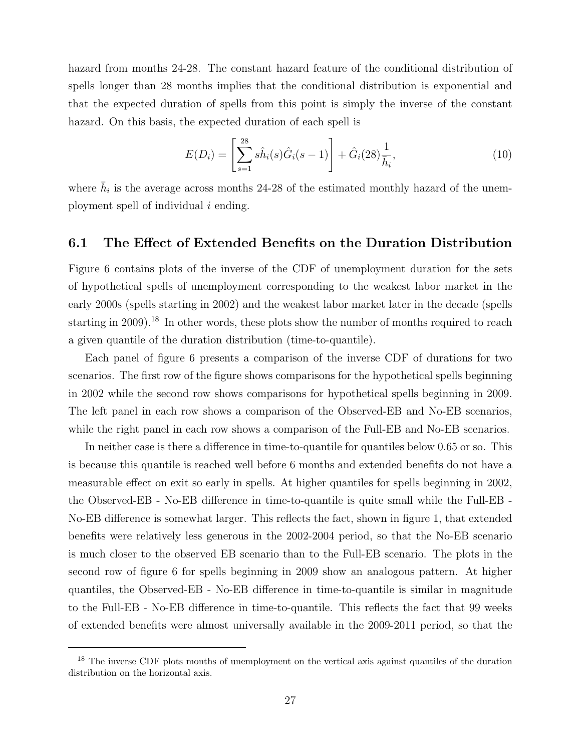hazard from months 24-28. The constant hazard feature of the conditional distribution of spells longer than 28 months implies that the conditional distribution is exponential and that the expected duration of spells from this point is simply the inverse of the constant hazard. On this basis, the expected duration of each spell is

$$
E(D_i) = \left[\sum_{s=1}^{28} s\hat{h}_i(s)\hat{G}_i(s-1)\right] + \hat{G}_i(28)\frac{1}{\bar{h}_i},\tag{10}
$$

where  $\bar{h}_i$  is the average across months 24-28 of the estimated monthly hazard of the unemployment spell of individual i ending.

#### 6.1 The Effect of Extended Benefits on the Duration Distribution

Figure 6 contains plots of the inverse of the CDF of unemployment duration for the sets of hypothetical spells of unemployment corresponding to the weakest labor market in the early 2000s (spells starting in 2002) and the weakest labor market later in the decade (spells starting in 2009).<sup>18</sup> In other words, these plots show the number of months required to reach a given quantile of the duration distribution (time-to-quantile).

Each panel of figure 6 presents a comparison of the inverse CDF of durations for two scenarios. The first row of the figure shows comparisons for the hypothetical spells beginning in 2002 while the second row shows comparisons for hypothetical spells beginning in 2009. The left panel in each row shows a comparison of the Observed-EB and No-EB scenarios, while the right panel in each row shows a comparison of the Full-EB and No-EB scenarios.

In neither case is there a difference in time-to-quantile for quantiles below 0.65 or so. This is because this quantile is reached well before 6 months and extended benefits do not have a measurable effect on exit so early in spells. At higher quantiles for spells beginning in 2002, the Observed-EB - No-EB difference in time-to-quantile is quite small while the Full-EB - No-EB difference is somewhat larger. This reflects the fact, shown in figure 1, that extended benefits were relatively less generous in the 2002-2004 period, so that the No-EB scenario is much closer to the observed EB scenario than to the Full-EB scenario. The plots in the second row of figure 6 for spells beginning in 2009 show an analogous pattern. At higher quantiles, the Observed-EB - No-EB difference in time-to-quantile is similar in magnitude to the Full-EB - No-EB difference in time-to-quantile. This reflects the fact that 99 weeks of extended benefits were almost universally available in the 2009-2011 period, so that the

<sup>&</sup>lt;sup>18</sup> The inverse CDF plots months of unemployment on the vertical axis against quantiles of the duration distribution on the horizontal axis.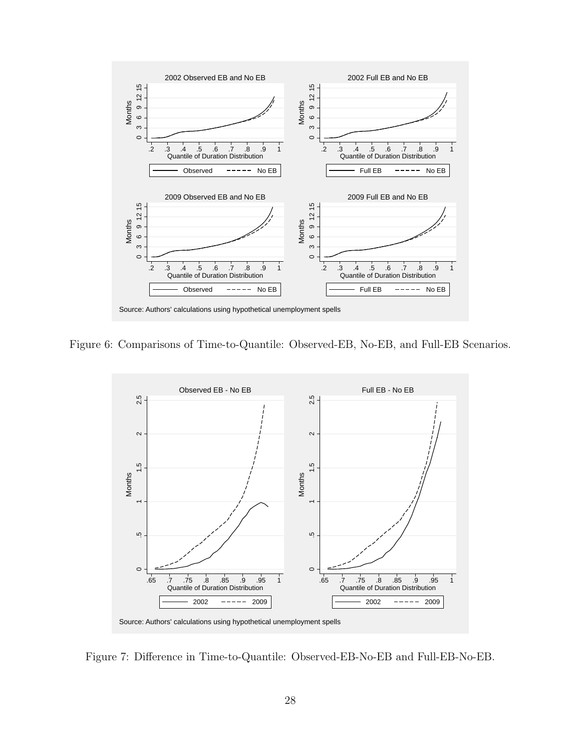

Figure 6: Comparisons of Time-to-Quantile: Observed-EB, No-EB, and Full-EB Scenarios.



Figure 7: Difference in Time-to-Quantile: Observed-EB-No-EB and Full-EB-No-EB.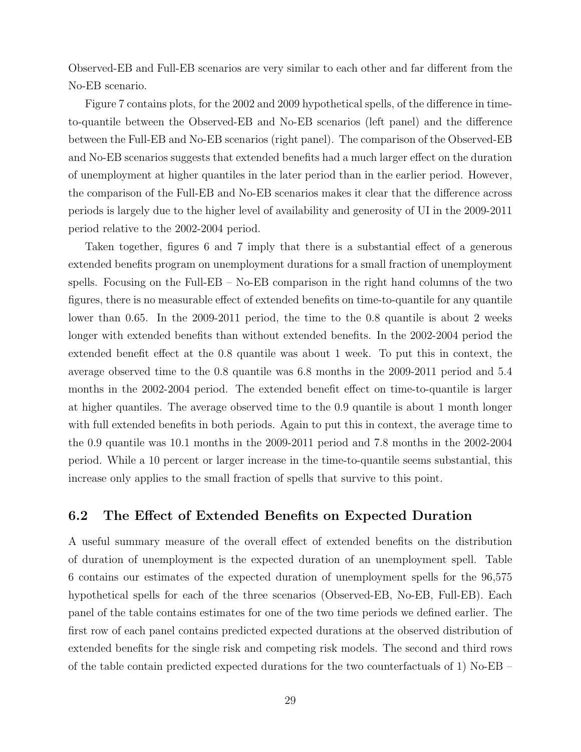Observed-EB and Full-EB scenarios are very similar to each other and far different from the No-EB scenario.

Figure 7 contains plots, for the 2002 and 2009 hypothetical spells, of the difference in timeto-quantile between the Observed-EB and No-EB scenarios (left panel) and the difference between the Full-EB and No-EB scenarios (right panel). The comparison of the Observed-EB and No-EB scenarios suggests that extended benefits had a much larger effect on the duration of unemployment at higher quantiles in the later period than in the earlier period. However, the comparison of the Full-EB and No-EB scenarios makes it clear that the difference across periods is largely due to the higher level of availability and generosity of UI in the 2009-2011 period relative to the 2002-2004 period.

Taken together, figures 6 and 7 imply that there is a substantial effect of a generous extended benefits program on unemployment durations for a small fraction of unemployment spells. Focusing on the Full-EB – No-EB comparison in the right hand columns of the two figures, there is no measurable effect of extended benefits on time-to-quantile for any quantile lower than 0.65. In the 2009-2011 period, the time to the 0.8 quantile is about 2 weeks longer with extended benefits than without extended benefits. In the 2002-2004 period the extended benefit effect at the 0.8 quantile was about 1 week. To put this in context, the average observed time to the 0.8 quantile was 6.8 months in the 2009-2011 period and 5.4 months in the 2002-2004 period. The extended benefit effect on time-to-quantile is larger at higher quantiles. The average observed time to the 0.9 quantile is about 1 month longer with full extended benefits in both periods. Again to put this in context, the average time to the 0.9 quantile was 10.1 months in the 2009-2011 period and 7.8 months in the 2002-2004 period. While a 10 percent or larger increase in the time-to-quantile seems substantial, this increase only applies to the small fraction of spells that survive to this point.

## 6.2 The Effect of Extended Benefits on Expected Duration

A useful summary measure of the overall effect of extended benefits on the distribution of duration of unemployment is the expected duration of an unemployment spell. Table 6 contains our estimates of the expected duration of unemployment spells for the 96,575 hypothetical spells for each of the three scenarios (Observed-EB, No-EB, Full-EB). Each panel of the table contains estimates for one of the two time periods we defined earlier. The first row of each panel contains predicted expected durations at the observed distribution of extended benefits for the single risk and competing risk models. The second and third rows of the table contain predicted expected durations for the two counterfactuals of 1) No-EB –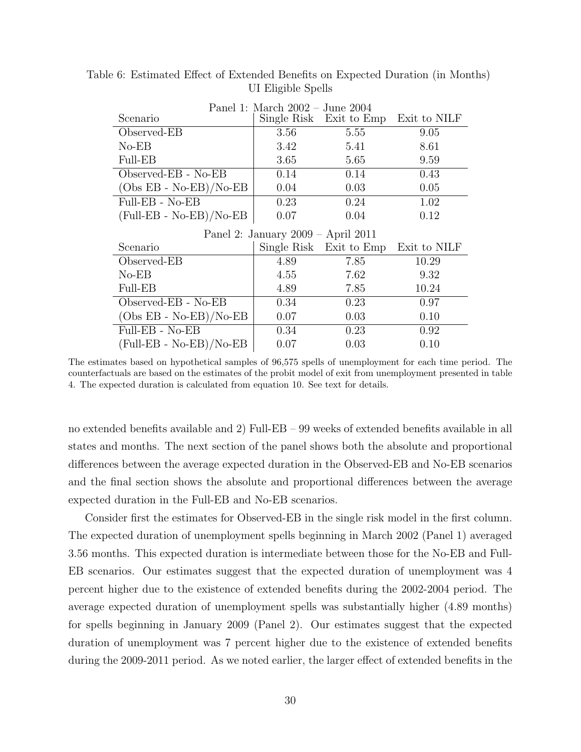|                           | Panel 1: March $2002 -$ June $2004$  |                         |              |
|---------------------------|--------------------------------------|-------------------------|--------------|
| Scenario                  |                                      | Single Risk Exit to Emp | Exit to NILF |
| Observed-EB               | 3.56                                 | 5.55                    | 9.05         |
| $No-EB$                   | 3.42                                 | 5.41                    | 8.61         |
| <b>Full-EB</b>            | 3.65                                 | 5.65                    | 9.59         |
| Observed-EB - No-EB       | 0.14                                 | 0.14                    | 0.43         |
| $(Obs EB - No-EB)/No-EB)$ | 0.04                                 | 0.03                    | 0.05         |
| Full-EB - No-EB           | 0.23                                 | 0.24                    | 1.02         |
| $(Full-EB - No-EB)/No-EB$ | 0.07                                 | 0.04                    | 0.12         |
|                           |                                      |                         |              |
|                           | Panel 2: January $2009 - April 2011$ |                         |              |
| Scenario                  |                                      | Single Risk Exit to Emp | Exit to NILF |
| Observed-EB               | 4.89                                 | 7.85                    | 10.29        |
| $No-EB$                   | 4.55                                 | 7.62                    | 9.32         |
| Full-EB                   | 4.89                                 | 7.85                    | 10.24        |
| Observed-EB - No-EB       | 0.34                                 | 0.23                    | 0.97         |
| $(Obs EB - No-EB)/No-EB)$ | 0.07                                 | 0.03                    | 0.10         |
| Full-EB - No-EB           | 0.34                                 | 0.23                    | 0.92         |

Table 6: Estimated Effect of Extended Benefits on Expected Duration (in Months) UI Eligible Spells

The estimates based on hypothetical samples of 96,575 spells of unemployment for each time period. The counterfactuals are based on the estimates of the probit model of exit from unemployment presented in table 4. The expected duration is calculated from equation 10. See text for details.

no extended benefits available and 2) Full-EB – 99 weeks of extended benefits available in all states and months. The next section of the panel shows both the absolute and proportional differences between the average expected duration in the Observed-EB and No-EB scenarios and the final section shows the absolute and proportional differences between the average expected duration in the Full-EB and No-EB scenarios.

Consider first the estimates for Observed-EB in the single risk model in the first column. The expected duration of unemployment spells beginning in March 2002 (Panel 1) averaged 3.56 months. This expected duration is intermediate between those for the No-EB and Full-EB scenarios. Our estimates suggest that the expected duration of unemployment was 4 percent higher due to the existence of extended benefits during the 2002-2004 period. The average expected duration of unemployment spells was substantially higher (4.89 months) for spells beginning in January 2009 (Panel 2). Our estimates suggest that the expected duration of unemployment was 7 percent higher due to the existence of extended benefits during the 2009-2011 period. As we noted earlier, the larger effect of extended benefits in the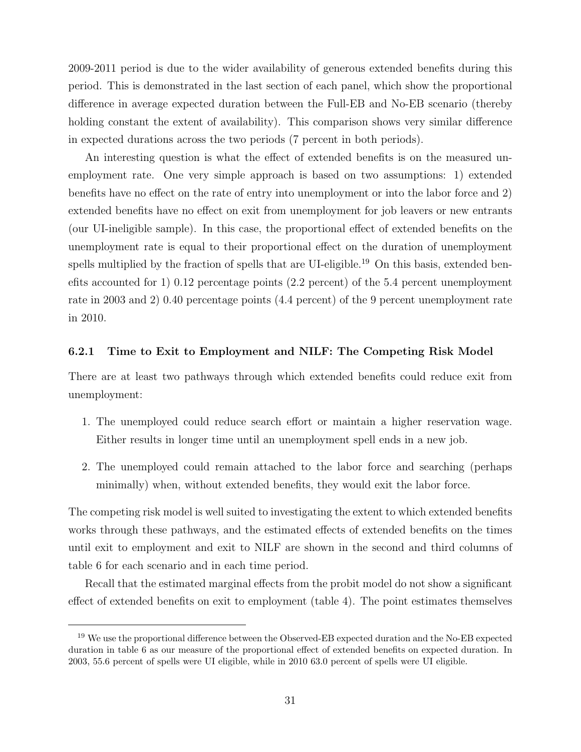2009-2011 period is due to the wider availability of generous extended benefits during this period. This is demonstrated in the last section of each panel, which show the proportional difference in average expected duration between the Full-EB and No-EB scenario (thereby holding constant the extent of availability). This comparison shows very similar difference in expected durations across the two periods (7 percent in both periods).

An interesting question is what the effect of extended benefits is on the measured unemployment rate. One very simple approach is based on two assumptions: 1) extended benefits have no effect on the rate of entry into unemployment or into the labor force and 2) extended benefits have no effect on exit from unemployment for job leavers or new entrants (our UI-ineligible sample). In this case, the proportional effect of extended benefits on the unemployment rate is equal to their proportional effect on the duration of unemployment spells multiplied by the fraction of spells that are UI-eligible.<sup>19</sup> On this basis, extended benefits accounted for 1) 0.12 percentage points (2.2 percent) of the 5.4 percent unemployment rate in 2003 and 2) 0.40 percentage points (4.4 percent) of the 9 percent unemployment rate in 2010.

#### 6.2.1 Time to Exit to Employment and NILF: The Competing Risk Model

There are at least two pathways through which extended benefits could reduce exit from unemployment:

- 1. The unemployed could reduce search effort or maintain a higher reservation wage. Either results in longer time until an unemployment spell ends in a new job.
- 2. The unemployed could remain attached to the labor force and searching (perhaps minimally) when, without extended benefits, they would exit the labor force.

The competing risk model is well suited to investigating the extent to which extended benefits works through these pathways, and the estimated effects of extended benefits on the times until exit to employment and exit to NILF are shown in the second and third columns of table 6 for each scenario and in each time period.

Recall that the estimated marginal effects from the probit model do not show a significant effect of extended benefits on exit to employment (table 4). The point estimates themselves

<sup>&</sup>lt;sup>19</sup> We use the proportional difference between the Observed-EB expected duration and the No-EB expected duration in table 6 as our measure of the proportional effect of extended benefits on expected duration. In 2003, 55.6 percent of spells were UI eligible, while in 2010 63.0 percent of spells were UI eligible.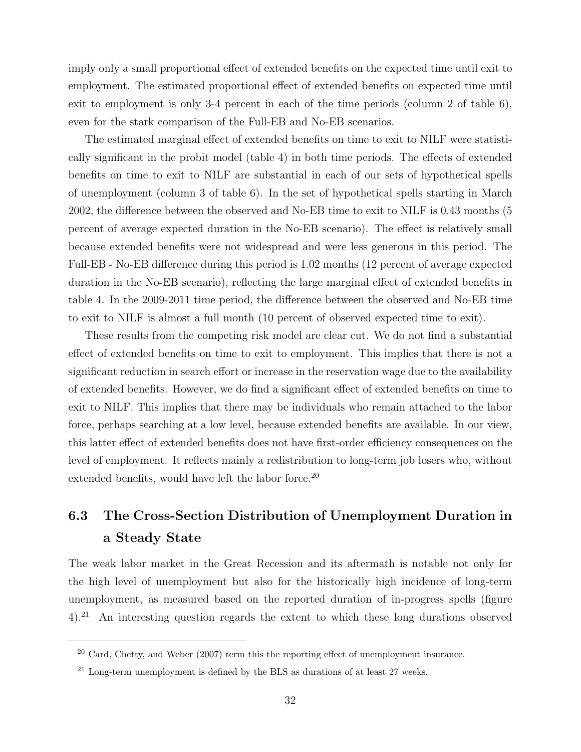imply only a small proportional effect of extended benefits on the expected time until exit to employment. The estimated proportional effect of extended benefits on expected time until exit to employment is only 3-4 percent in each of the time periods (column 2 of table 6), even for the stark comparison of the Full-EB and No-EB scenarios.

The estimated marginal effect of extended benefits on time to exit to NILF were statistically significant in the probit model (table 4) in both time periods. The effects of extended benefits on time to exit to NILF are substantial in each of our sets of hypothetical spells of unemployment (column 3 of table 6). In the set of hypothetical spells starting in March 2002, the difference between the observed and No-EB time to exit to NILF is 0.43 months (5 percent of average expected duration in the No-EB scenario). The effect is relatively small because extended benefits were not widespread and were less generous in this period. The Full-EB - No-EB difference during this period is 1.02 months (12 percent of average expected duration in the No-EB scenario), reflecting the large marginal effect of extended benefits in table 4. In the 2009-2011 time period, the difference between the observed and No-EB time to exit to NILF is almost a full month (10 percent of observed expected time to exit).

These results from the competing risk model are clear cut. We do not find a substantial effect of extended benefits on time to exit to employment. This implies that there is not a significant reduction in search effort or increase in the reservation wage due to the availability of extended benefits. However, we do find a significant effect of extended benefits on time to exit to NILF. This implies that there may be individuals who remain attached to the labor force, perhaps searching at a low level, because extended benefits are available. In our view, this latter effect of extended benefits does not have first-order efficiency consequences on the level of employment. It reflects mainly a redistribution to long-term job losers who, without extended benefits, would have left the labor force.<sup>20</sup>

# 6.3 The Cross-Section Distribution of Unemployment Duration in a Steady State

The weak labor market in the Great Recession and its aftermath is notable not only for the high level of unemployment but also for the historically high incidence of long-term unemployment, as measured based on the reported duration of in-progress spells (figure 4).<sup>21</sup> An interesting question regards the extent to which these long durations observed

<sup>20</sup> Card, Chetty, and Weber (2007) term this the reporting effect of unemployment insurance.

 $21$  Long-term unemployment is defined by the BLS as durations of at least 27 weeks.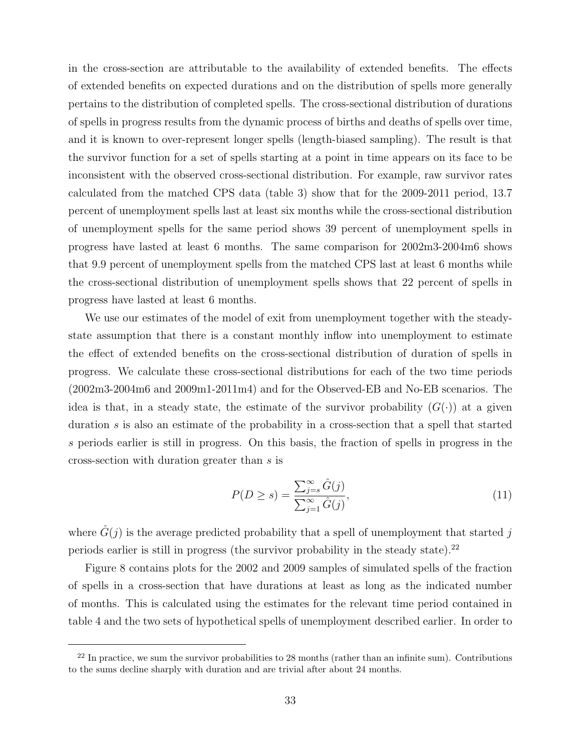in the cross-section are attributable to the availability of extended benefits. The effects of extended benefits on expected durations and on the distribution of spells more generally pertains to the distribution of completed spells. The cross-sectional distribution of durations of spells in progress results from the dynamic process of births and deaths of spells over time, and it is known to over-represent longer spells (length-biased sampling). The result is that the survivor function for a set of spells starting at a point in time appears on its face to be inconsistent with the observed cross-sectional distribution. For example, raw survivor rates calculated from the matched CPS data (table 3) show that for the 2009-2011 period, 13.7 percent of unemployment spells last at least six months while the cross-sectional distribution of unemployment spells for the same period shows 39 percent of unemployment spells in progress have lasted at least 6 months. The same comparison for 2002m3-2004m6 shows that 9.9 percent of unemployment spells from the matched CPS last at least 6 months while the cross-sectional distribution of unemployment spells shows that 22 percent of spells in progress have lasted at least 6 months.

We use our estimates of the model of exit from unemployment together with the steadystate assumption that there is a constant monthly inflow into unemployment to estimate the effect of extended benefits on the cross-sectional distribution of duration of spells in progress. We calculate these cross-sectional distributions for each of the two time periods (2002m3-2004m6 and 2009m1-2011m4) and for the Observed-EB and No-EB scenarios. The idea is that, in a steady state, the estimate of the survivor probability  $(G(\cdot))$  at a given duration s is also an estimate of the probability in a cross-section that a spell that started s periods earlier is still in progress. On this basis, the fraction of spells in progress in the cross-section with duration greater than s is

$$
P(D \ge s) = \frac{\sum_{j=s}^{\infty} \hat{G}(j)}{\sum_{j=1}^{\infty} \hat{G}(j)},
$$
\n(11)

where  $\hat{G}(j)$  is the average predicted probability that a spell of unemployment that started j periods earlier is still in progress (the survivor probability in the steady state). $^{22}$ 

Figure 8 contains plots for the 2002 and 2009 samples of simulated spells of the fraction of spells in a cross-section that have durations at least as long as the indicated number of months. This is calculated using the estimates for the relevant time period contained in table 4 and the two sets of hypothetical spells of unemployment described earlier. In order to

 $22$  In practice, we sum the survivor probabilities to 28 months (rather than an infinite sum). Contributions to the sums decline sharply with duration and are trivial after about 24 months.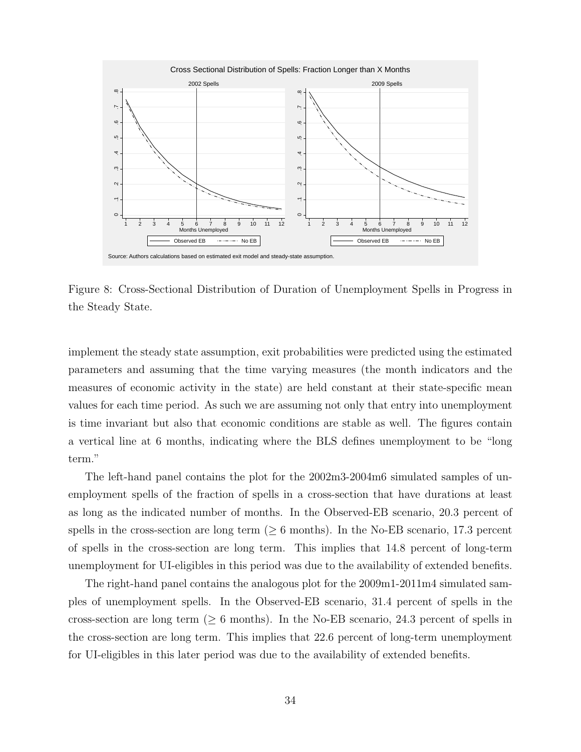

Figure 8: Cross-Sectional Distribution of Duration of Unemployment Spells in Progress in the Steady State.

implement the steady state assumption, exit probabilities were predicted using the estimated parameters and assuming that the time varying measures (the month indicators and the measures of economic activity in the state) are held constant at their state-specific mean values for each time period. As such we are assuming not only that entry into unemployment is time invariant but also that economic conditions are stable as well. The figures contain a vertical line at 6 months, indicating where the BLS defines unemployment to be "long term."

The left-hand panel contains the plot for the 2002m3-2004m6 simulated samples of unemployment spells of the fraction of spells in a cross-section that have durations at least as long as the indicated number of months. In the Observed-EB scenario, 20.3 percent of spells in the cross-section are long term ( $\geq 6$  months). In the No-EB scenario, 17.3 percent of spells in the cross-section are long term. This implies that 14.8 percent of long-term unemployment for UI-eligibles in this period was due to the availability of extended benefits.

The right-hand panel contains the analogous plot for the 2009m1-2011m4 simulated samples of unemployment spells. In the Observed-EB scenario, 31.4 percent of spells in the cross-section are long term ( $\geq 6$  months). In the No-EB scenario, 24.3 percent of spells in the cross-section are long term. This implies that 22.6 percent of long-term unemployment for UI-eligibles in this later period was due to the availability of extended benefits.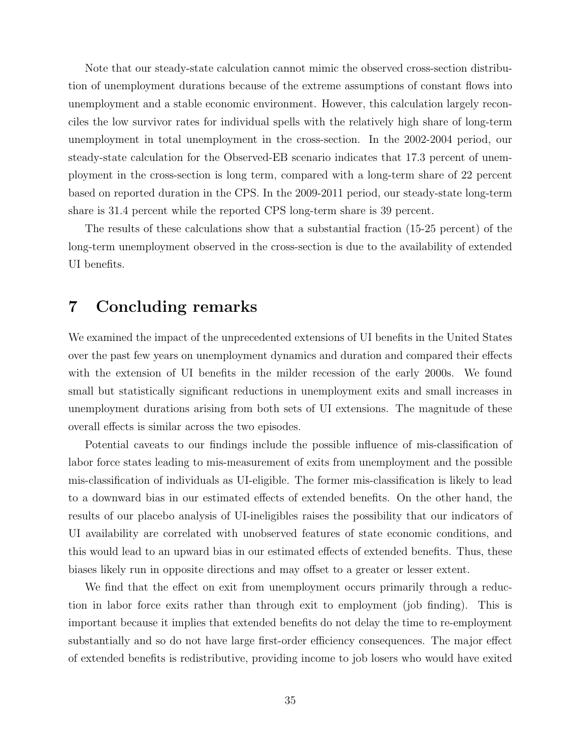Note that our steady-state calculation cannot mimic the observed cross-section distribution of unemployment durations because of the extreme assumptions of constant flows into unemployment and a stable economic environment. However, this calculation largely reconciles the low survivor rates for individual spells with the relatively high share of long-term unemployment in total unemployment in the cross-section. In the 2002-2004 period, our steady-state calculation for the Observed-EB scenario indicates that 17.3 percent of unemployment in the cross-section is long term, compared with a long-term share of 22 percent based on reported duration in the CPS. In the 2009-2011 period, our steady-state long-term share is 31.4 percent while the reported CPS long-term share is 39 percent.

The results of these calculations show that a substantial fraction (15-25 percent) of the long-term unemployment observed in the cross-section is due to the availability of extended UI benefits.

# 7 Concluding remarks

We examined the impact of the unprecedented extensions of UI benefits in the United States over the past few years on unemployment dynamics and duration and compared their effects with the extension of UI benefits in the milder recession of the early 2000s. We found small but statistically significant reductions in unemployment exits and small increases in unemployment durations arising from both sets of UI extensions. The magnitude of these overall effects is similar across the two episodes.

Potential caveats to our findings include the possible influence of mis-classification of labor force states leading to mis-measurement of exits from unemployment and the possible mis-classification of individuals as UI-eligible. The former mis-classification is likely to lead to a downward bias in our estimated effects of extended benefits. On the other hand, the results of our placebo analysis of UI-ineligibles raises the possibility that our indicators of UI availability are correlated with unobserved features of state economic conditions, and this would lead to an upward bias in our estimated effects of extended benefits. Thus, these biases likely run in opposite directions and may offset to a greater or lesser extent.

We find that the effect on exit from unemployment occurs primarily through a reduction in labor force exits rather than through exit to employment (job finding). This is important because it implies that extended benefits do not delay the time to re-employment substantially and so do not have large first-order efficiency consequences. The major effect of extended benefits is redistributive, providing income to job losers who would have exited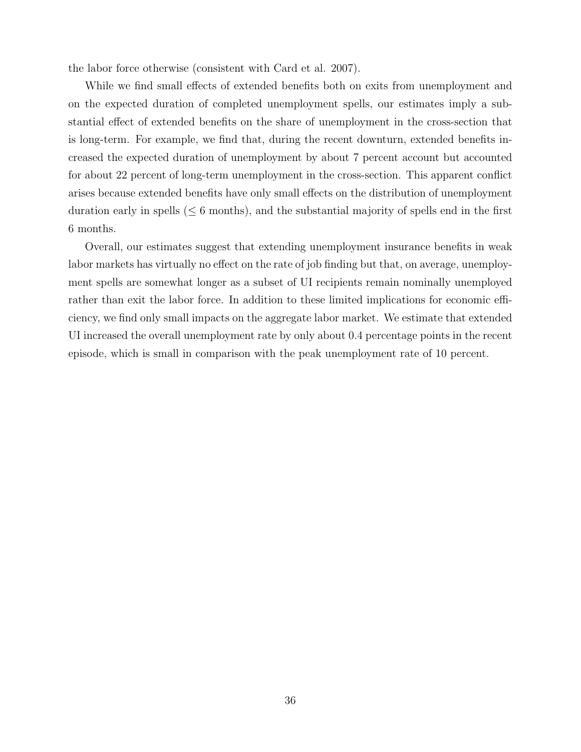the labor force otherwise (consistent with Card et al. 2007).

While we find small effects of extended benefits both on exits from unemployment and on the expected duration of completed unemployment spells, our estimates imply a substantial effect of extended benefits on the share of unemployment in the cross-section that is long-term. For example, we find that, during the recent downturn, extended benefits increased the expected duration of unemployment by about 7 percent account but accounted for about 22 percent of long-term unemployment in the cross-section. This apparent conflict arises because extended benefits have only small effects on the distribution of unemployment duration early in spells  $(< 6$  months), and the substantial majority of spells end in the first 6 months.

Overall, our estimates suggest that extending unemployment insurance benefits in weak labor markets has virtually no effect on the rate of job finding but that, on average, unemployment spells are somewhat longer as a subset of UI recipients remain nominally unemployed rather than exit the labor force. In addition to these limited implications for economic efficiency, we find only small impacts on the aggregate labor market. We estimate that extended UI increased the overall unemployment rate by only about 0.4 percentage points in the recent episode, which is small in comparison with the peak unemployment rate of 10 percent.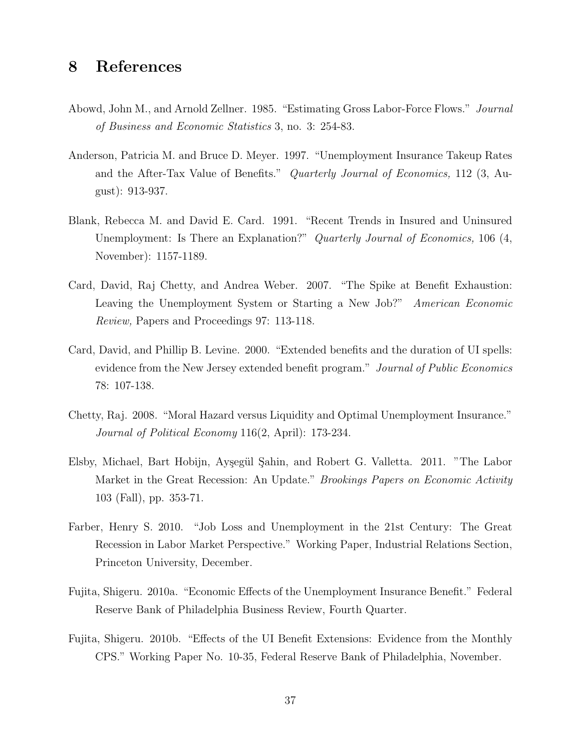# 8 References

- Abowd, John M., and Arnold Zellner. 1985. "Estimating Gross Labor-Force Flows." Journal of Business and Economic Statistics 3, no. 3: 254-83.
- Anderson, Patricia M. and Bruce D. Meyer. 1997. "Unemployment Insurance Takeup Rates and the After-Tax Value of Benefits." Quarterly Journal of Economics, 112 (3, August): 913-937.
- Blank, Rebecca M. and David E. Card. 1991. "Recent Trends in Insured and Uninsured Unemployment: Is There an Explanation?" Quarterly Journal of Economics, 106 (4, November): 1157-1189.
- Card, David, Raj Chetty, and Andrea Weber. 2007. "The Spike at Benefit Exhaustion: Leaving the Unemployment System or Starting a New Job?" American Economic Review, Papers and Proceedings 97: 113-118.
- Card, David, and Phillip B. Levine. 2000. "Extended benefits and the duration of UI spells: evidence from the New Jersey extended benefit program." Journal of Public Economics 78: 107-138.
- Chetty, Raj. 2008. "Moral Hazard versus Liquidity and Optimal Unemployment Insurance." Journal of Political Economy 116(2, April): 173-234.
- Elsby, Michael, Bart Hobijn, Ayşegül Şahin, and Robert G. Valletta. 2011. "The Labor Market in the Great Recession: An Update." *Brookings Papers on Economic Activity* 103 (Fall), pp. 353-71.
- Farber, Henry S. 2010. "Job Loss and Unemployment in the 21st Century: The Great Recession in Labor Market Perspective." Working Paper, Industrial Relations Section, Princeton University, December.
- Fujita, Shigeru. 2010a. "Economic Effects of the Unemployment Insurance Benefit." Federal Reserve Bank of Philadelphia Business Review, Fourth Quarter.
- Fujita, Shigeru. 2010b. "Effects of the UI Benefit Extensions: Evidence from the Monthly CPS." Working Paper No. 10-35, Federal Reserve Bank of Philadelphia, November.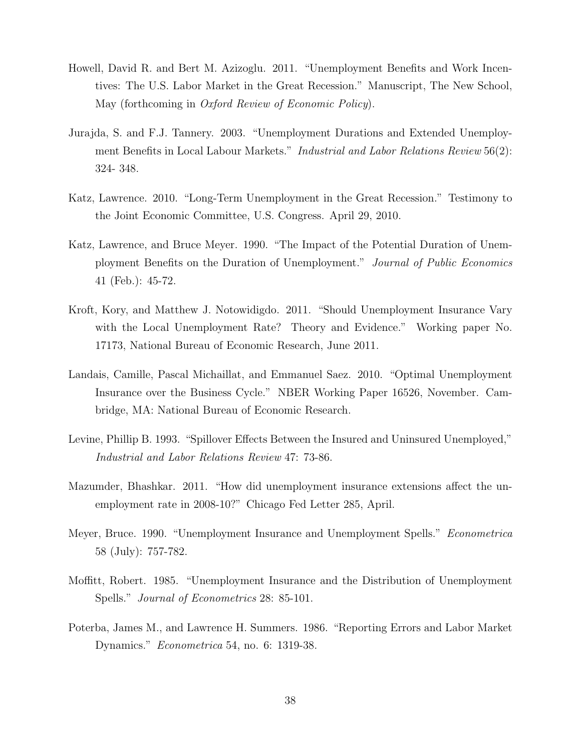- Howell, David R. and Bert M. Azizoglu. 2011. "Unemployment Benefits and Work Incentives: The U.S. Labor Market in the Great Recession." Manuscript, The New School, May (forthcoming in Oxford Review of Economic Policy).
- Jurajda, S. and F.J. Tannery. 2003. "Unemployment Durations and Extended Unemployment Benefits in Local Labour Markets." Industrial and Labor Relations Review 56(2): 324- 348.
- Katz, Lawrence. 2010. "Long-Term Unemployment in the Great Recession." Testimony to the Joint Economic Committee, U.S. Congress. April 29, 2010.
- Katz, Lawrence, and Bruce Meyer. 1990. "The Impact of the Potential Duration of Unemployment Benefits on the Duration of Unemployment." Journal of Public Economics 41 (Feb.): 45-72.
- Kroft, Kory, and Matthew J. Notowidigdo. 2011. "Should Unemployment Insurance Vary with the Local Unemployment Rate? Theory and Evidence." Working paper No. 17173, National Bureau of Economic Research, June 2011.
- Landais, Camille, Pascal Michaillat, and Emmanuel Saez. 2010. "Optimal Unemployment Insurance over the Business Cycle." NBER Working Paper 16526, November. Cambridge, MA: National Bureau of Economic Research.
- Levine, Phillip B. 1993. "Spillover Effects Between the Insured and Uninsured Unemployed," Industrial and Labor Relations Review 47: 73-86.
- Mazumder, Bhashkar. 2011. "How did unemployment insurance extensions affect the unemployment rate in 2008-10?" Chicago Fed Letter 285, April.
- Meyer, Bruce. 1990. "Unemployment Insurance and Unemployment Spells." Econometrica 58 (July): 757-782.
- Moffitt, Robert. 1985. "Unemployment Insurance and the Distribution of Unemployment Spells." Journal of Econometrics 28: 85-101.
- Poterba, James M., and Lawrence H. Summers. 1986. "Reporting Errors and Labor Market Dynamics." Econometrica 54, no. 6: 1319-38.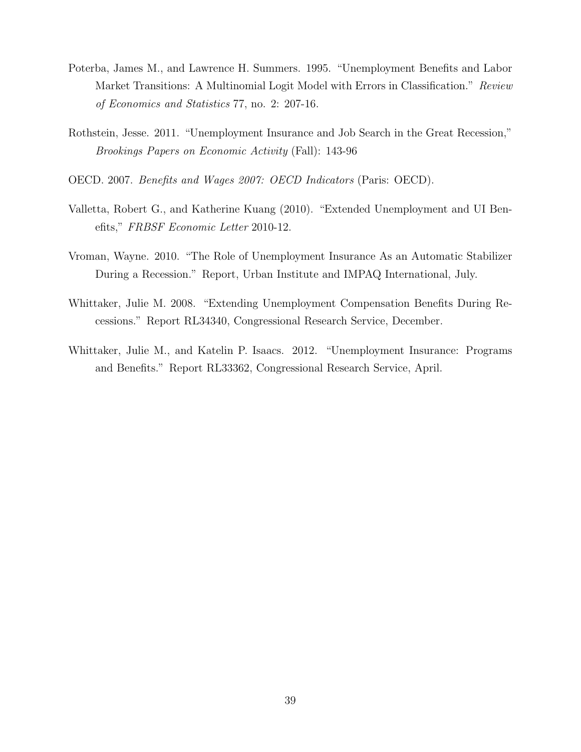- Poterba, James M., and Lawrence H. Summers. 1995. "Unemployment Benefits and Labor Market Transitions: A Multinomial Logit Model with Errors in Classification." Review of Economics and Statistics 77, no. 2: 207-16.
- Rothstein, Jesse. 2011. "Unemployment Insurance and Job Search in the Great Recession," Brookings Papers on Economic Activity (Fall): 143-96
- OECD. 2007. Benefits and Wages 2007: OECD Indicators (Paris: OECD).
- Valletta, Robert G., and Katherine Kuang (2010). "Extended Unemployment and UI Benefits," FRBSF Economic Letter 2010-12.
- Vroman, Wayne. 2010. "The Role of Unemployment Insurance As an Automatic Stabilizer During a Recession." Report, Urban Institute and IMPAQ International, July.
- Whittaker, Julie M. 2008. "Extending Unemployment Compensation Benefits During Recessions." Report RL34340, Congressional Research Service, December.
- Whittaker, Julie M., and Katelin P. Isaacs. 2012. "Unemployment Insurance: Programs and Benefits." Report RL33362, Congressional Research Service, April.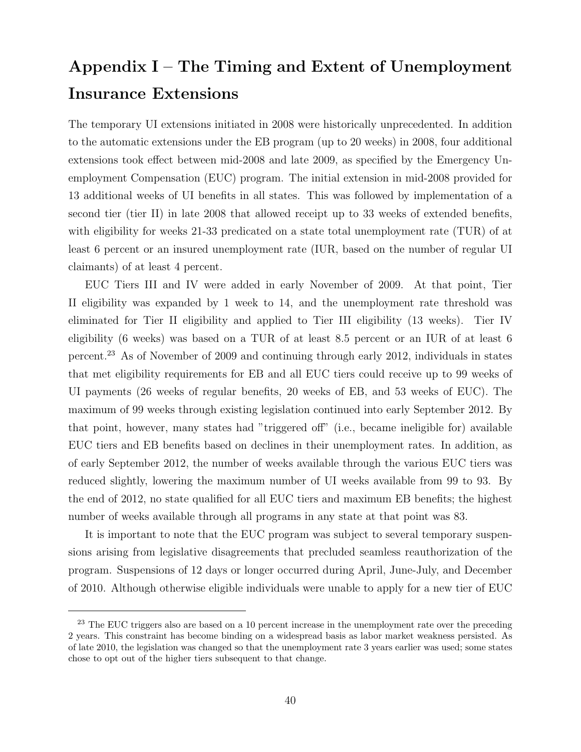# Appendix  $I$  – The Timing and Extent of Unemployment Insurance Extensions

The temporary UI extensions initiated in 2008 were historically unprecedented. In addition to the automatic extensions under the EB program (up to 20 weeks) in 2008, four additional extensions took effect between mid-2008 and late 2009, as specified by the Emergency Unemployment Compensation (EUC) program. The initial extension in mid-2008 provided for 13 additional weeks of UI benefits in all states. This was followed by implementation of a second tier (tier II) in late 2008 that allowed receipt up to 33 weeks of extended benefits, with eligibility for weeks 21-33 predicated on a state total unemployment rate (TUR) of at least 6 percent or an insured unemployment rate (IUR, based on the number of regular UI claimants) of at least 4 percent.

EUC Tiers III and IV were added in early November of 2009. At that point, Tier II eligibility was expanded by 1 week to 14, and the unemployment rate threshold was eliminated for Tier II eligibility and applied to Tier III eligibility (13 weeks). Tier IV eligibility (6 weeks) was based on a TUR of at least 8.5 percent or an IUR of at least 6 percent.<sup>23</sup> As of November of 2009 and continuing through early 2012, individuals in states that met eligibility requirements for EB and all EUC tiers could receive up to 99 weeks of UI payments (26 weeks of regular benefits, 20 weeks of EB, and 53 weeks of EUC). The maximum of 99 weeks through existing legislation continued into early September 2012. By that point, however, many states had "triggered off" (i.e., became ineligible for) available EUC tiers and EB benefits based on declines in their unemployment rates. In addition, as of early September 2012, the number of weeks available through the various EUC tiers was reduced slightly, lowering the maximum number of UI weeks available from 99 to 93. By the end of 2012, no state qualified for all EUC tiers and maximum EB benefits; the highest number of weeks available through all programs in any state at that point was 83.

It is important to note that the EUC program was subject to several temporary suspensions arising from legislative disagreements that precluded seamless reauthorization of the program. Suspensions of 12 days or longer occurred during April, June-July, and December of 2010. Although otherwise eligible individuals were unable to apply for a new tier of EUC

<sup>&</sup>lt;sup>23</sup> The EUC triggers also are based on a 10 percent increase in the unemployment rate over the preceding 2 years. This constraint has become binding on a widespread basis as labor market weakness persisted. As of late 2010, the legislation was changed so that the unemployment rate 3 years earlier was used; some states chose to opt out of the higher tiers subsequent to that change.